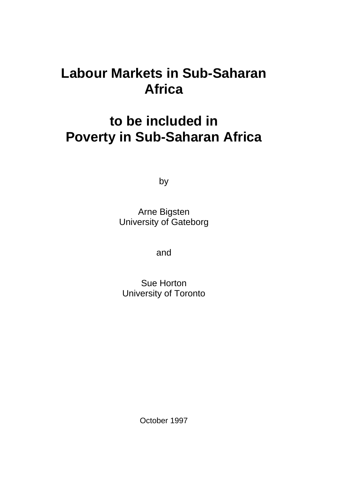# **Labour Markets in Sub-Saharan Africa**

# **to be included in Poverty in Sub-Saharan Africa**

by

Arne Bigsten University of Gateborg

and

Sue Horton University of Toronto

October 1997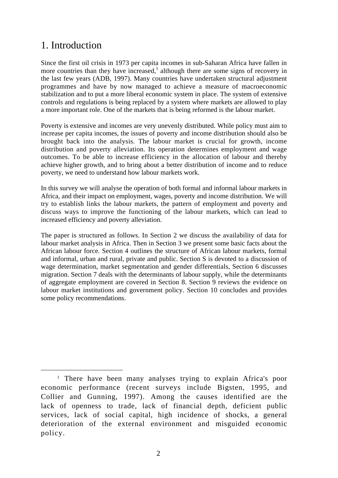## 1. Introduction

Since the first oil crisis in 1973 per capita incomes in sub-Saharan Africa have fallen in more countries than they have increased,<sup>1</sup> although there are some signs of recovery in the last few years (ADB, 1997). Many countries have undertaken structural adjustment programmes and have by now managed to achieve a measure of macroeconomic stabilization and to put a more liberal economic system in place. The system of extensive controls and regulations is being replaced by a system where markets are allowed to play a more important role. One of the markets that is being reformed is the labour market.

Poverty is extensive and incomes are very unevenly distributed. While policy must aim to increase per capita incomes, the issues of poverty and income distribution should also be brought back into the analysis. The labour market is crucial for growth, income distribution and poverty alleviation. Its operation determines employment and wage outcomes. To be able to increase efficiency in the allocation of labour and thereby achieve higher growth, and to bring about a better distribution of income and to reduce poverty, we need to understand how labour markets work.

In this survey we will analyse the operation of both formal and informal labour markets in Africa, and their impact on employment, wages, poverty and income distribution. We will try to establish links the labour markets, the pattern of employment and poverty and discuss ways to improve the functioning of the labour markets, which can lead to increased efficiency and poverty alleviation.

The paper is structured as follows. In Section 2 we discuss the availability of data for labour market analysis in Africa. Then in Section 3 we present some basic facts about the African labour force. Section 4 outlines the structure of African labour markets, formal and informal, urban and rural, private and public. Section S is devoted to a discussion of wage determination, market segmentation and gender differentials, Section 6 discusses migration. Section 7 deals with the determinants of labour supply, while the determinants of aggregate employment are covered in Section 8. Section 9 reviews the evidence on labour market institutions and government policy. Section 10 concludes and provides some policy recommendations.

<sup>&</sup>lt;sup>1</sup> There have been many analyses trying to explain Africa's poor economic performance (recent surveys include Bigsten, 1995, and Collier and Gunning, 1997). Among the causes identified are the lack of openness to trade, lack of financial depth, deficient public services, lack of social capital, high incidence of shocks, a general deterioration of the external environment and misguided economic policy.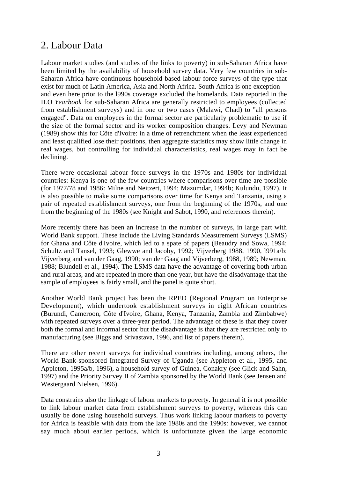## 2. Labour Data

Labour market studies (and studies of the links to poverty) in sub-Saharan Africa have been limited by the availability of household survey data. Very few countries in sub-Saharan Africa have continuous household-based labour force surveys of the type that exist for much of Latin America, Asia and North Africa. South Africa is one exception and even here prior to the l990s coverage excluded the homelands. Data reported in the ILO *Yearbook* for sub-Saharan Africa are generally restricted to employees (collected from establishment surveys) and in one or two cases (Malawi, Chad) to "all persons engaged". Data on employees in the formal sector are particularly problematic to use if the size of the formal sector and its worker composition changes. Levy and Newman (1989) show this for Côte d'Ivoire: in a time of retrenchment when the least experienced and least qualified lose their positions, then aggregate statistics may show little change in real wages, but controlling for individual characteristics, real wages may in fact be declining.

There were occasional labour force surveys in the 1970s and 1980s for individual countries: Kenya is one of the few countries where comparisons over time are possible (for 1977/78 and 1986: Milne and Neitzert, 1994; Mazumdar, 1994b; Kulundu, 1997). It is also possible to make some comparisons over time for Kenya and Tanzania, using a pair of repeated establishment surveys, one from the beginning of the 1970s, and one from the beginning of the 1980s (see Knight and Sabot, 1990, and references therein).

More recently there has been an increase in the number of surveys, in large part with World Bank support. These include the Living Standards Measurement Surveys (LSMS) for Ghana and Côte d'Ivoire, which led to a spate of papers (Beaudry and Sowa, 1994; Schultz and Tansel, 1993; Glewwe and Jacoby, 1992; Vijverberg 1988, 1990, l991a/b; Vijverberg and van der Gaag, 1990; van der Gaag and Vijverberg, 1988, 1989; Newman, 1988; Blundell et al., 1994). The LSMS data have the advantage of covering both urban and rural areas, and are repeated in more than one year, but have the disadvantage that the sample of employees is fairly small, and the panel is quite short.

Another World Bank project has been the RPED (Regional Program on Enterprise Development), which undertook establishment surveys in eight African countries (Burundi, Cameroon, Côte d'Ivoire, Ghana, Kenya, Tanzania, Zambia and Zimbabwe) with repeated surveys over a three-year period. The advantage of these is that they cover both the formal and informal sector but the disadvantage is that they are restricted only to manufacturing (see Biggs and Srivastava, 1996, and list of papers therein).

There are other recent surveys for individual countries including, among others, the World Bank-sponsored Integrated Survey of Uganda (see Appleton et al., 1995, and Appleton, 1995a/b, 1996), a household survey of Guinea, Conakry (see Glick and Sahn, 1997) and the Priority Survey II of Zambia sponsored by the World Bank (see Jensen and Westergaard Nielsen, 1996).

Data constrains also the linkage of labour markets to poverty. In general it is not possible to link labour market data from establishment surveys to poverty, whereas this can usually be done using household surveys. Thus work linking labour markets to poverty for Africa is feasible with data from the late 1980s and the 1990s: however, we cannot say much about earlier periods, which is unfortunate given the large economic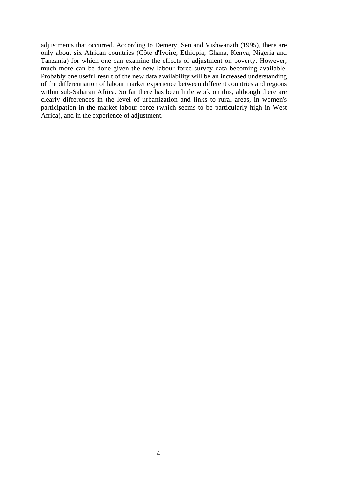adjustments that occurred. According to Demery, Sen and Vishwanath (1995), there are only about six African countries (Côte d'Ivoire, Ethiopia, Ghana, Kenya, Nigeria and Tanzania) for which one can examine the effects of adjustment on poverty. However, much more can be done given the new labour force survey data becoming available. Probably one useful result of the new data availability will be an increased understanding of the differentiation of labour market experience between different countries and regions within sub-Saharan Africa. So far there has been little work on this, although there are clearly differences in the level of urbanization and links to rural areas, in women's participation in the market labour force (which seems to be particularly high in West Africa), and in the experience of adjustment.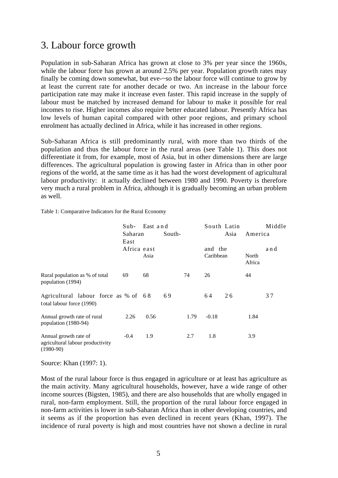## 3. Labour force growth

Population in sub-Saharan Africa has grown at close to 3% per year since the 1960s, while the labour force has grown at around 2.5% per year. Population growth rates may finally be coming down somewhat, but eve-~so the labour force will continue to grow by at least the current rate for another decade or two. An increase in the labour force participation rate may make it increase even faster. This rapid increase in the supply of labour must be matched by increased demand for labour to make it possible for real incomes to rise. Higher incomes also require better educated labour. Presently Africa has low levels of human capital compared with other poor regions, and primary school enrolment has actually declined in Africa, while it has increased in other regions.

Sub-Saharan Africa is still predominantly rural, with more than two thirds of the population and thus the labour force in the rural areas (see Table 1). This does not differentiate it from, for example, most of Asia, but in other dimensions there are large differences. The agricultural population is growing faster in Africa than in other poor regions of the world, at the same time as it has had the worst development of agricultural labour productivity: it actually declined between 1980 and 1990. Poverty is therefore very much a rural problem in Africa, although it is gradually becoming an urban problem as well.

Table 1: Comparative Indicators for the Rural Economy

|                                                                          | East and<br>Sub- |      |        |      | South Latin          |    |                 | Middle |
|--------------------------------------------------------------------------|------------------|------|--------|------|----------------------|----|-----------------|--------|
|                                                                          | Saharan<br>East  |      | South- |      | Asia                 |    | America         |        |
|                                                                          | Africa east      | Asia |        |      | and the<br>Caribbean |    | North<br>Africa | and    |
| Rural population as % of total<br>population (1994)                      | 69               | 68   |        | 74   | 26                   |    | 44              |        |
| Agricultural labour force as % of 68<br>total labour force (1990)        |                  |      | 69     |      | 64                   | 26 |                 | 37     |
| Annual growth rate of rural<br>population (1980-94)                      | 2.26             | 0.56 |        | 1.79 | $-0.18$              |    | 1.84            |        |
| Annual growth rate of<br>agricultural labour productivity<br>$(1980-90)$ | $-0.4$           | 1.9  |        | 2.7  | 1.8                  |    | 3.9             |        |

Source: Khan (1997: 1).

Most of the rural labour force is thus engaged in agriculture or at least has agriculture as the main activity. Many agricultural households, however, have a wide range of other income sources (Bigsten, 1985), and there are also households that are wholly engaged in rural, non-farm employment. Still, the proportion of the rural labour force engaged in non-farm activities is lower in sub-Saharan Africa than in other developing countries, and it seems as if the proportion has even declined in recent years (Khan, 1997). The incidence of rural poverty is high and most countries have not shown a decline in rural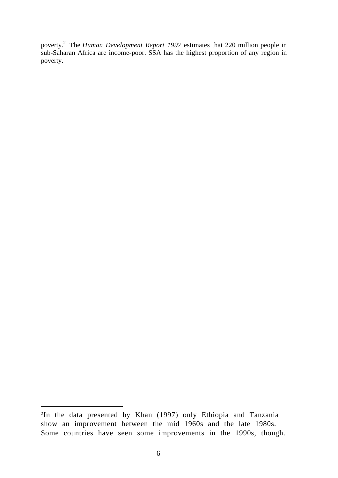poverty.2 The *Human Development Report 1997* estimates that 220 million people in sub-Saharan Africa are income-poor. SSA has the highest proportion of any region in poverty.

 <sup>2</sup>In the data presented by Khan (1997) only Ethiopia and Tanzania show an improvement between the mid 1960s and the late 1980s. Some countries have seen some improvements in the 1990s, though.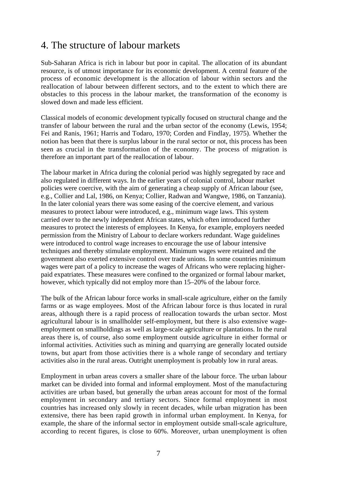## 4. The structure of labour markets

Sub-Saharan Africa is rich in labour but poor in capital. The allocation of its abundant resource, is of utmost importance for its economic development. A central feature of the process of economic development is the allocation of labour within sectors and the reallocation of labour between different sectors, and to the extent to which there are obstacles to this process in the labour market, the transformation of the economy is slowed down and made less efficient.

Classical models of economic development typically focused on structural change and the transfer of labour between the rural and the urban sector of the economy (Lewis, 1954; Fei and Ranis, 1961; Harris and Todaro, 1970; Corden and Findlay, 1975). Whether the notion has been that there is surplus labour in the rural sector or not, this process has been seen as crucial in the transformation of the economy. The process of migration is therefore an important part of the reallocation of labour.

The labour market in Africa during the colonial period was highly segregated by race and also regulated in different ways. In the earlier years of colonial control, labour market policies were coercive, with the aim of generating a cheap supply of African labour (see, e.g., Collier and Lal, 1986, on Kenya; Collier, Radwan and Wangwe, 1986, on Tanzania). In the later colonial years there was some easing of the coercive element, and various measures to protect labour were introduced, e.g., minimum wage laws. This system carried over to the newly independent African states, which often introduced further measures to protect the interests of employees. In Kenya, for example, employers needed permission from the Ministry of Labour to declare workers redundant. Wage guidelines were introduced to control wage increases to encourage the use of labour intensive techniques and thereby stimulate employment. Minimum wages were retained and the government also exerted extensive control over trade unions. In some countries minimum wages were part of a policy to increase the wages of Africans who were replacing higherpaid expatriates. These measures were confined to the organized or formal labour market, however, which typically did not employ more than 15–20% of the labour force.

The bulk of the African labour force works in small-scale agriculture, either on the family farms or as wage employees. Most of the African labour force is thus located in rural areas, although there is a rapid process of reallocation towards the urban sector. Most agricultural labour is in smallholder self-employment, but there is also extensive wageemployment on smallholdings as well as large-scale agriculture or plantations. In the rural areas there is, of course, also some employment outside agriculture in either formal or informal activities. Activities such as mining and quarrying are generally located outside towns, but apart from those activities there is a whole range of secondary and tertiary activities also in the rural areas. Outright unemployment is probably low in rural areas.

Employment in urban areas covers a smaller share of the labour force. The urban labour market can be divided into formal and informal employment. Most of the manufacturing activities are urban based, but generally the urban areas account for most of the formal employment in secondary and tertiary sectors. Since formal employment in most countries has increased only slowly in recent decades, while urban migration has been extensive, there has been rapid growth in informal urban employment. In Kenya, for example, the share of the informal sector in employment outside small-scale agriculture, according to recent figures, is close to 60%. Moreover, urban unemployment is often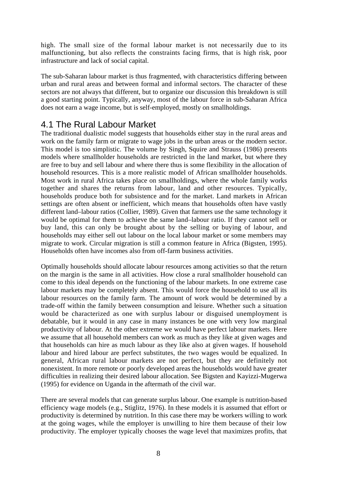high. The small size of the formal labour market is not necessarily due to its malfunctioning, but also reflects the constraints facing firms, that is high risk, poor infrastructure and lack of social capital.

The sub-Saharan labour market is thus fragmented, with characteristics differing between urban and rural areas and between formal and informal sectors. The character of these sectors are not always that different, but to organize our discussion this breakdown is still a good starting point. Typically, anyway, most of the labour force in sub-Saharan Africa does not earn a wage income, but is self-employed, mostly on smallholdings.

#### 4.1 The Rural Labour Market

The traditional dualistic model suggests that households either stay in the rural areas and work on the family farm or migrate to wage jobs in the urban areas or the modern sector. This model is too simplistic. The volume by Singh, Squire and Strauss (1986) presents models where smallholder households are restricted in the land market, but where they are free to buy and sell labour and where there thus is some flexibility in the allocation of household resources. This is a more realistic model of African smallholder households. Most work in rural Africa takes place on smallholdings, where the whole family works together and shares the returns from labour, land and other resources. Typically, households produce both for subsistence and for the market. Land markets in African settings are often absent or inefficient, which means that households often have vastly different land–labour ratios (Collier, 1989). Given that farmers use the same technology it would be optimal for them to achieve the same land–labour ratio. If they cannot sell or buy land, this can only be brought about by the selling or buying of labour, and households may either sell out labour on the local labour market or some members may migrate to work. Circular migration is still a common feature in Africa (Bigsten, 1995). Households often have incomes also from off-farm business activities.

Optimally households should allocate labour resources among activities so that the return on the margin is the same in all activities. How close a rural smallholder household can come to this ideal depends on the functioning of the labour markets. In one extreme case labour markets may be completely absent. This would force the household to use all its labour resources on the family farm. The amount of work would be determined by a trade-off within the family between consumption and leisure. Whether such a situation would be characterized as one with surplus labour or disguised unemployment is debatable, but it would in any case in many instances be one with very low marginal productivity of labour. At the other extreme we would have perfect labour markets. Here we assume that all household members can work as much as they like at given wages and that households can hire as much labour as they like also at given wages. If household labour and hired labour are perfect substitutes, the two wages would be equalized. In general, African rural labour markets are not perfect, but they are definitely not nonexistent. In more remote or poorly developed areas the households would have greater difficulties in realizing their desired labour allocation. See Bigsten and Kayizzi-Mugerwa (1995) for evidence on Uganda in the aftermath of the civil war.

There are several models that can generate surplus labour. One example is nutrition-based efficiency wage models (e.g., Stiglitz, 1976). In these models it is assumed that effort or productivity is determined by nutrition. In this case there may be workers willing to work at the going wages, while the employer is unwilling to hire them because of their low productivity. The employer typically chooses the wage level that maximizes profits, that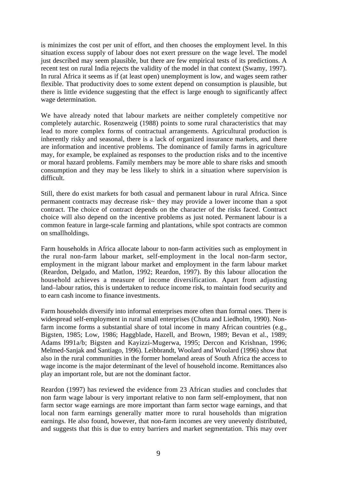is minimizes the cost per unit of effort, and then chooses the employment level. In this situation excess supply of labour does not exert pressure on the wage level. The model just described may seem plausible, but there are few empirical tests of its predictions. A recent test on rural India rejects the validity of the model in that context (Swamy, 1997). In rural Africa it seems as if (at least open) unemployment is low, and wages seem rather flexible. That productivity does to some extent depend on consumption is plausible, but there is little evidence suggesting that the effect is large enough to significantly affect wage determination.

We have already noted that labour markets are neither completely competitive nor completely autarchic. Rosenzweig (1988) points to some rural characteristics that may lead to more complex forms of contractual arrangements. Agricultural production is inherently risky and seasonal, there is a lack of organized insurance markets, and there are information and incentive problems. The dominance of family farms in agriculture may, for example, be explained as responses to the production risks and to the incentive or moral hazard problems. Family members may be more able to share risks and smooth consumption and they may be less likely to shirk in a situation where supervision is difficult.

Still, there do exist markets for both casual and permanent labour in rural Africa. Since permanent contracts may decrease risk~ they may provide a lower income than a spot contract. The choice of contract depends on the character of the risks faced. Contract choice will also depend on the incentive problems as just noted. Permanent labour is a common feature in large-scale farming and plantations, while spot contracts are common on smallholdings.

Farm households in Africa allocate labour to non-farm activities such as employment in the rural non-farm labour market, self-employment in the local non-farm sector, employment in the migrant labour market and employment in the farm labour market (Reardon, Delgado, and Matlon, 1992; Reardon, 1997). By this labour allocation the household achieves a measure of income diversification. Apart from adjusting land–labour ratios, this is undertaken to reduce income risk, to maintain food security and to earn cash income to finance investments.

Farm households diversify into informal enterprises more often than formal ones. There is widespread self-employment in rural small enterprises (Chuta and Liedholm, 1990). Nonfarm income forms a substantial share of total income in many African countries (e.g., Bigsten, 1985; Low, 1986; Haggblade, Hazell, and Brown, 1989; Bevan et al., 1989; Adams l991a/b; Bigsten and Kayizzi-Mugerwa, 1995; Dercon and Krishnan, 1996; Melmed-Sanjak and Santiago, 1996). Leibbrandt, Woolard and Woolard (1996) show that also in the rural communities in the former homeland areas of South Africa the access to wage income is the major determinant of the level of household income. Remittances also play an important role, but are not the dominant factor.

Reardon (1997) has reviewed the evidence from 23 African studies and concludes that non farm wage labour is very important relative to non farm self-employment, that non farm sector wage earnings are more important than farm sector wage earnings, and that local non farm earnings generally matter more to rural households than migration earnings. He also found, however, that non-farm incomes are very unevenly distributed, and suggests that this is due to entry barriers and market segmentation. This may over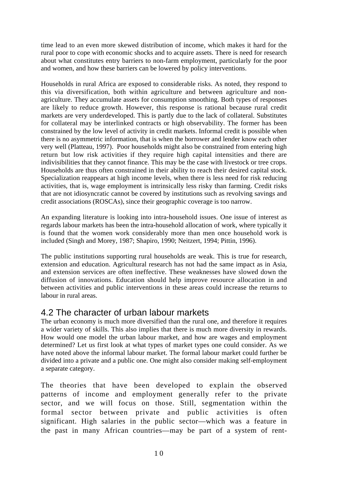time lead to an even more skewed distribution of income, which makes it hard for the rural poor to cope with economic shocks and to acquire assets. There is need for research about what constitutes entry barriers to non-farm employment, particularly for the poor and women, and how these barriers can be lowered by policy interventions.

Households in rural Africa are exposed to considerable risks. As noted, they respond to this via diversification, both within agriculture and between agriculture and nonagriculture. They accumulate assets for consumption smoothing. Both types of responses are likely to reduce growth. However, this response is rational because rural credit markets are very underdeveloped. This is partly due to the lack of collateral. Substitutes for collateral may be interlinked contracts or high observability. The former has been constrained by the low level of activity in credit markets. Informal credit is possible when there is no asymmetric information, that is when the borrower and lender know each other very well (Platteau, 1997). Poor households might also be constrained from entering high return but low risk activities if they require high capital intensities and there are indivisibilities that they cannot finance. This may be the case with livestock or tree crops. Households are thus often constrained in their ability to reach their desired capital stock. Specialization reappears at high income levels, when there is less need for risk reducing activities, that is, wage employment is intrinsically less risky than farming. Credit risks that are not idiosyncratic cannot be covered by institutions such as revolving savings and credit associations (ROSCAs), since their geographic coverage is too narrow.

An expanding literature is looking into intra-household issues. One issue of interest as regards labour markets has been the intra-household allocation of work, where typically it is found that the women work considerably more than men once household work is included (Singh and Morey, 1987; Shapiro, 1990; Neitzert, 1994; Pittin, 1996).

The public institutions supporting rural households are weak. This is true for research, extension and education. Agricultural research has not had the same impact as in Asia, and extension services are often ineffective. These weaknesses have slowed down the diffusion of innovations. Education should help improve resource allocation in and between activities and public interventions in these areas could increase the returns to labour in rural areas.

#### 4.2 The character of urban labour markets

The urban economy is much more diversified than the rural one, and therefore it requires a wider variety of skills. This also implies that there is much more diversity in rewards. How would one model the urban labour market, and how are wages and employment determined? Let us first look at what types of market types one could consider. As we have noted above the informal labour market. The formal labour market could further be divided into a private and a public one. One might also consider making self-employment a separate category.

The theories that have been developed to explain the observed patterns of income and employment generally refer to the private sector, and we will focus on those. Still, segmentation within the formal sector between private and public activities is often significant. High salaries in the public sector—which was a feature in the past in many African countries—may be part of a system of rent-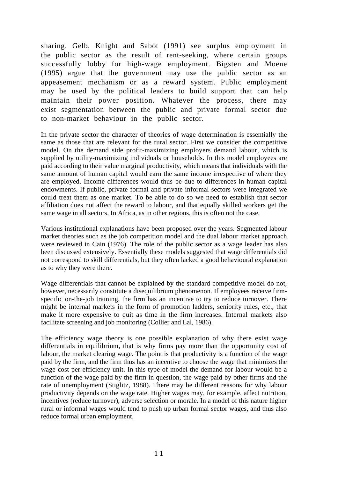sharing. Gelb, Knight and Sabot (1991) see surplus employment in the public sector as the result of rent-seeking, where certain groups successfully lobby for high-wage employment. Bigsten and Moene (1995) argue that the government may use the public sector as an appeasement mechanism or as a reward system. Public employment may be used by the political leaders to build support that can help maintain their power position. Whatever the process, there may exist segmentation between the public and private formal sector due to non-market behaviour in the public sector.

In the private sector the character of theories of wage determination is essentially the same as those that are relevant for the rural sector. First we consider the competitive model. On the demand side profit-maximizing employers demand labour, which is supplied by utility-maximizing individuals or households. In this model employees are paid according to their value marginal productivity, which means that individuals with the same amount of human capital would earn the same income irrespective of where they are employed. Income differences would thus be due to differences in human capital endowments. If public, private formal and private informal sectors were integrated we could treat them as one market. To be able to do so we need to establish that sector affiliation does not affect the reward to labour, and that equally skilled workers get the same wage in all sectors. In Africa, as in other regions, this is often not the case.

Various institutional explanations have been proposed over the years. Segmented labour market theories such as the job competition model and the dual labour market approach were reviewed in Cain (1976). The role of the public sector as a wage leader has also been discussed extensively. Essentially these models suggested that wage differentials did not correspond to skill differentials, but they often lacked a good behavioural explanation as to why they were there.

Wage differentials that cannot be explained by the standard competitive model do not, however, necessarily constitute a disequilibrium phenomenon. If employees receive firmspecific on-the-job training, the firm has an incentive to try to reduce turnover. There might be internal markets in the form of promotion ladders, seniority rules, etc., that make it more expensive to quit as time in the firm increases. Internal markets also facilitate screening and job monitoring (Collier and Lal, 1986).

The efficiency wage theory is one possible explanation of why there exist wage differentials in equilibrium, that is why firms pay more than the opportunity cost of labour, the market clearing wage. The point is that productivity is a function of the wage paid by the firm, and the firm thus has an incentive to choose the wage that minimizes the wage cost per efficiency unit. In this type of model the demand for labour would be a function of the wage paid by the firm in question, the wage paid by other firms and the rate of unemployment (Stiglitz, 1988). There may be different reasons for why labour productivity depends on the wage rate. Higher wages may, for example, affect nutrition, incentives (reduce turnover), adverse selection or morale. In a model of this nature higher rural or informal wages would tend to push up urban formal sector wages, and thus also reduce formal urban employment.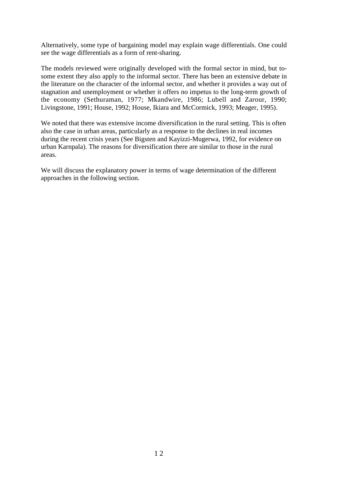Alternatively, some type of bargaining model may explain wage differentials. One could see the wage differentials as a form of rent-sharing.

The models reviewed were originally developed with the formal sector in mind, but tosome extent they also apply to the informal sector. There has been an extensive debate in the literature on the character of the informal sector, and whether it provides a way out of stagnation and unemployment or whether it offers no impetus to the long-term growth of the economy (Sethuraman, 1977; Mkandwire, 1986; Lubell and Zarour, 1990; Livingstone, 1991; House, 1992; House, Ikiara and McCormick, 1993; Meager, 1995).

We noted that there was extensive income diversification in the rural setting. This is often also the case in urban areas, particularly as a response to the declines in real incomes during the recent crisis years (See Bigsten and Kayizzi-Mugerwa, 1992, for evidence on urban Karnpala). The reasons for diversification there are similar to those in the rural areas.

We will discuss the explanatory power in terms of wage determination of the different approaches in the following section.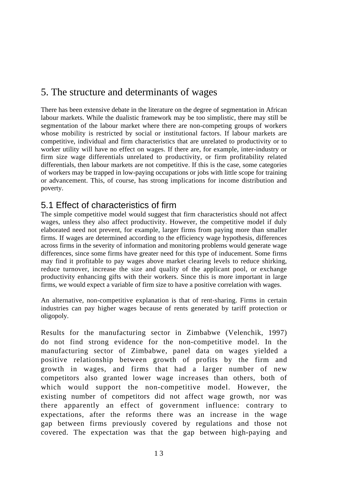# 5. The structure and determinants of wages

There has been extensive debate in the literature on the degree of segmentation in African labour markets. While the dualistic framework may be too simplistic, there may still be segmentation of the labour market where there are non-competing groups of workers whose mobility is restricted by social or institutional factors. If labour markets are competitive, individual and firm characteristics that are unrelated to productivity or to worker utility will have no effect on wages. If there are, for example, inter-industry or firm size wage differentials unrelated to productivity, or firm profitability related differentials, then labour markets are not competitive. If this is the case, some categories of workers may be trapped in low-paying occupations or jobs with little scope for training or advancement. This, of course, has strong implications for income distribution and poverty.

#### 5.1 Effect of characteristics of firm

The simple competitive model would suggest that firm characteristics should not affect wages, unless they also affect productivity. However, the competitive model if duly elaborated need not prevent, for example, larger firms from paying more than smaller firms. If wages are determined according to the efficiency wage hypothesis, differences across firms in the severity of information and monitoring problems would generate wage differences, since some firms have greater need for this type of inducement. Some firms may find it profitable to pay wages above market clearing levels to reduce shirking, reduce turnover, increase the size and quality of the applicant pool, or exchange productivity enhancing gifts with their workers. Since this is more important in large firms, we would expect a variable of firm size to have a positive correlation with wages.

An alternative, non-competitive explanation is that of rent-sharing. Firms in certain industries can pay higher wages because of rents generated by tariff protection or oligopoly.

Results for the manufacturing sector in Zimbabwe (Velenchik, 1997) do not find strong evidence for the non-competitive model. In the manufacturing sector of Zimbabwe, panel data on wages yielded a positive relationship between growth of profits by the firm and growth in wages, and firms that had a larger number of new competitors also granted lower wage increases than others, both of which would support the non-competitive model. However, the existing number of competitors did not affect wage growth, nor was there apparently an effect of government influence: contrary to expectations, after the reforms there was an increase in the wage gap between firms previously covered by regulations and those not covered. The expectation was that the gap between high-paying and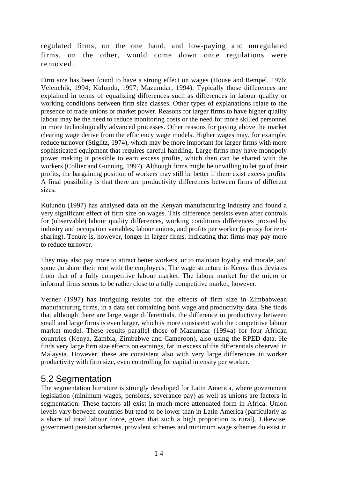regulated firms, on the one hand, and low-paying and unregulated firms, on the other, would come down once regulations were removed.

Firm size has been found to have a strong effect on wages (House and Rempel, 1976; Velenchik, 1994; Kulundu, 1997; Mazumdar, 1994). Typically those differences are explained in terms of equalizing differences such as differences in labour quality or working conditions between firm size classes. Other types of explanations relate to the presence of trade unions or market power. Reasons for larger firms to have higher quality labour may be the need to reduce monitoring costs or the need for more skilled personnel in more technologically advanced processes. Other reasons for paying above the market clearing wage derive from the efficiency wage models. Higher wages may, for example, reduce turnover (Stiglitz, 1974), which may be more important for larger firms with more sophisticated equipment that requires careful handling. Large firms may have monopoly power making it possible to earn excess profits, which then can be shared with the workers (Collier and Gunning, 1997). Although firms might be unwilling to let go of their profits, the bargaining position of workers may still be better if there exist excess profits. A final possibility is that there are productivity differences between firms of different sizes.

Kulundu (1997) has analysed data on the Kenyan manufacturing industry and found a very significant effect of firm size on wages. This difference persists even after controls for (observable) labour quality differences, working conditions differences proxied by industry and occupation variables, labour unions, and profits per worker (a proxy for rentsharing). Tenure is, however, longer in larger firms, indicating that firms may pay more to reduce turnover.

They may also pay more to attract better workers, or to maintain loyalty and morale, and some do share their rent with the employees. The wage structure in Kenya thus deviates from that of a fully competitive labour market. The labour market for the micro or informal firms seems to be rather close to a fully competitive market, however.

Verner (1997) has intriguing results for the effects of firm size in Zimbabwean manufacturing firms, in a data set containing both wage and productivity data. She finds that although there are large wage differentials, the difference in productivity between small and large firms is even larger, which is more consistent with the competitive labour market model. These results parallel those of Mazumdar (1994a) for four African countries (Kenya, Zambia, Zimbabwe and Cameroon), also using the RPED data. He finds very large firm size effects on earnings, far in excess of the differentials observed in Malaysia. However, these are consistent also with very large differences in worker productivity with firm size, even controlling for capital intensity per worker.

## 5.2 Segmentation

The segmentation literature is strongly developed for Latin America, where government legislation (minimum wages, pensions, severance pay) as well as unions are factors in segmentation. These factors all exist in much more attenuated form in Africa. Union levels vary between countries but tend to be lower than in Latin America (particularly as a share of total labour force, given that such a high proportion is rural). Likewise, government pension schemes, provident schemes and minimum wage schemes do exist in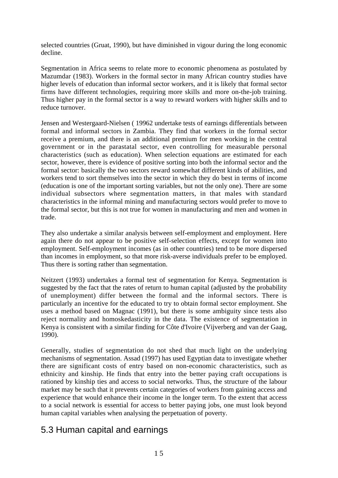selected countries (Gruat, 1990), but have diminished in vigour during the long economic decline.

Segmentation in Africa seems to relate more to economic phenomena as postulated by Mazumdar (1983). Workers in the formal sector in many African country studies have higher levels of education than informal sector workers, and it is likely that formal sector firms have different technologies, requiring more skills and more on-the-job training. Thus higher pay in the formal sector is a way to reward workers with higher skills and to reduce turnover.

Jensen and Westergaard-Nielsen ( 19962 undertake tests of earnings differentials between formal and informal sectors in Zambia. They find that workers in the formal sector receive a premium, and there is an additional premium for men working in the central government or in the parastatal sector, even controlling for measurable personal characteristics (such as education). When selection equations are estimated for each sector, however, there is evidence of positive sorting into both the informal sector and the formal sector: basically the two sectors reward somewhat different kinds of abilities, and workers tend to sort themselves into the sector in which they do best in terms of income (education is one of the important sorting variables, but not the only one). There are some individual subsectors where segmentation matters, in that males with standard characteristics in the informal mining and manufacturing sectors would prefer to move to the formal sector, but this is not true for women in manufacturing and men and women in trade.

They also undertake a similar analysis between self-employment and employment. Here again there do not appear to be positive self-selection effects, except for women into employment. Self-employment incomes (as in other countries) tend to be more dispersed than incomes in employment, so that more risk-averse individuals prefer to be employed. Thus there is sorting rather than segmentation.

Neitzert (1993) undertakes a formal test of segmentation for Kenya. Segmentation is suggested by the fact that the rates of return to human capital (adjusted by the probability of unemployment) differ between the formal and the informal sectors. There is particularly an incentive for the educated to try to obtain formal sector employment. She uses a method based on Magnac (1991), but there is some ambiguity since tests also reject normality and homoskedasticity in the data. The existence of segmentation in Kenya is consistent with a similar finding for Côte d'Ivoire (Vijverberg and van der Gaag, 1990).

Generally, studies of segmentation do not shed that much light on the underlying mechanisms of segmentation. Assad (1997) has used Egyptian data to investigate whether there are significant costs of entry based on non-economic characteristics, such as ethnicity and kinship. He finds that entry into the better paying craft occupations is rationed by kinship ties and access to social networks. Thus, the structure of the labour market may be such that it prevents certain categories of workers from gaining access and experience that would enhance their income in the longer term. To the extent that access to a social network is essential for access to better paying jobs, one must look beyond human capital variables when analysing the perpetuation of poverty.

## 5.3 Human capital and earnings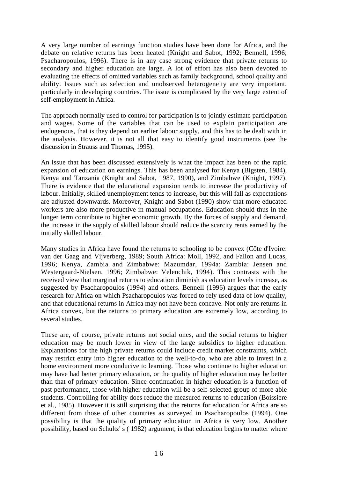A very large number of earnings function studies have been done for Africa, and the debate on relative returns has been heated (Knight and Sabot, 1992; Bennell, 1996; Psacharopoulos, 1996). There is in any case strong evidence that private returns to secondary and higher education are large. A lot of effort has also been devoted to evaluating the effects of omitted variables such as family background, school quality and ability. Issues such as selection and unobserved heterogeneity are very important, particularly in developing countries. The issue is complicated by the very large extent of self-employment in Africa.

The approach normally used to control for participation is to jointly estimate participation and wages. Some of the variables that can be used to explain participation are endogenous, that is they depend on earlier labour supply, and this has to be dealt with in the analysis. However, it is not all that easy to identify good instruments (see the discussion in Strauss and Thomas, 1995).

An issue that has been discussed extensively is what the impact has been of the rapid expansion of education on earnings. This has been analysed for Kenya (Bigsten, 1984), Kenya and Tanzania (Knight and Sabot, 1987, 1990), and Zimbabwe (Knight, 1997). There is evidence that the educational expansion tends to increase the productivity of labour. Initially, skilled unemployment tends to increase, but this will fall as expectations are adjusted downwards. Moreover, Knight and Sabot (1990) show that more educated workers are also more productive in manual occupations. Education should thus in the longer term contribute to higher economic growth. By the forces of supply and demand, the increase in the supply of skilled labour should reduce the scarcity rents earned by the initially skilled labour.

Many studies in Africa have found the returns to schooling to be convex (Côte d'Ivoire: van der Gaag and Vijverberg, 1989; South Africa: Moll, 1992, and Fallon and Lucas, 1996; Kenya, Zambia and Zimbabwe: Mazumdar, 1994a; Zambia: Jensen and Westergaard-Nielsen, 1996; Zimbabwe: Velenchik, 1994). This contrasts with the received view that marginal returns to education diminish as education levels increase, as suggested by Psacharopoulos (1994) and others. Bennell (1996) argues that the early research for Africa on which Psacharopoulos was forced to rely used data of low quality, and that educational returns in Africa may not have been concave. Not only are returns in Africa convex, but the returns to primary education are extremely low, according to several studies.

These are, of course, private returns not social ones, and the social returns to higher education may be much lower in view of the large subsidies to higher education. Explanations for the high private returns could include credit market constraints, which may restrict entry into higher education to the well-to-do, who are able to invest in a home environment more conducive to learning. Those who continue to higher education may have had better primary education, or the quality of higher education may be better than that of primary education. Since continuation in higher education is a function of past performance, those with higher education will be a self-selected group of more able students. Controlling for ability does reduce the measured returns to education (Boissiere et al., 1985). However it is still surprising that the returns for education for Africa are so different from those of other countries as surveyed in Psacharopoulos (1994). One possibility is that the quality of primary education in Africa is very low. Another possibility, based on Schultz' s ( 1982) argument, is that education begins to matter where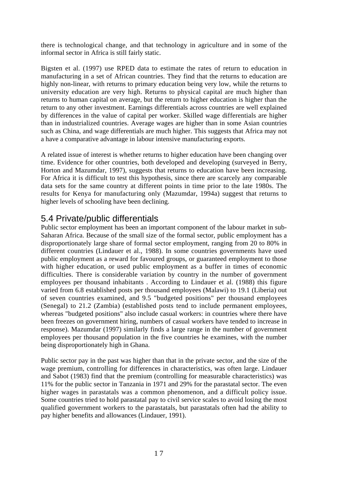there is technological change, and that technology in agriculture and in some of the informal sector in Africa is still fairly static.

Bigsten et al. (1997) use RPED data to estimate the rates of return to education in manufacturing in a set of African countries. They find that the returns to education are highly non-linear, with returns to primary education being very low, while the returns to university education are very high. Returns to physical capital are much higher than returns to human capital on average, but the return to higher education is higher than the return to any other investment. Earnings differentials across countries are well explained by differences in the value of capital per worker. Skilled wage differentials are higher than in industrialized countries. Average wages are higher than in some Asian countries such as China, and wage differentials are much higher. This suggests that Africa may not a have a comparative advantage in labour intensive manufacturing exports.

A related issue of interest is whether returns to higher education have been changing over time. Evidence for other countries, both developed and developing (surveyed in Berry, Horton and Mazumdar, 1997), suggests that returns to education have been increasing. For Africa it is difficult to test this hypothesis, since there are scarcely any comparable data sets for the same country at different points in time prior to the late 1980s. The results for Kenya for manufacturing only (Mazumdar, 1994a) suggest that returns to higher levels of schooling have been declining.

#### 5.4 Private/public differentials

Public sector employment has been an important component of the labour market in sub-Saharan Africa. Because of the small size of the formal sector, public employment has a disproportionately large share of formal sector employment, ranging from 20 to 80% in different countries (Lindauer et al., 1988). In some countries governments have used public employment as a reward for favoured groups, or guaranteed employment to those with higher education, or used public employment as a buffer in times of economic difficulties. There is considerable variation by country in the number of government employees per thousand inhabitants . According to Lindauer et al. (1988) this figure varied from 6.8 established posts per thousand employees (Malawi) to 19.1 (Liberia) out of seven countries examined, and 9.5 "budgeted positions" per thousand employees (Senegal) to 21.2 (Zambia) (established posts tend to include permanent employees, whereas "budgeted positions" also include casual workers: in countries where there have been freezes on government hiring, numbers of casual workers have tended to increase in response). Mazumdar (1997) similarly finds a large range in the number of government employees per thousand population in the five countries he examines, with the number being disproportionately high in Ghana.

Public sector pay in the past was higher than that in the private sector, and the size of the wage premium, controlling for differences in characteristics, was often large. Lindauer and Sabot (1983) find that the premium (controlling for measurable characteristics) was 11% for the public sector in Tanzania in 1971 and 29% for the parastatal sector. The even higher wages in parastatals was a common phenomenon, and a difficult policy issue. Some countries tried to hold parastatal pay to civil service scales to avoid losing the most qualified government workers to the parastatals, but parastatals often had the ability to pay higher benefits and allowances (Lindauer, 1991).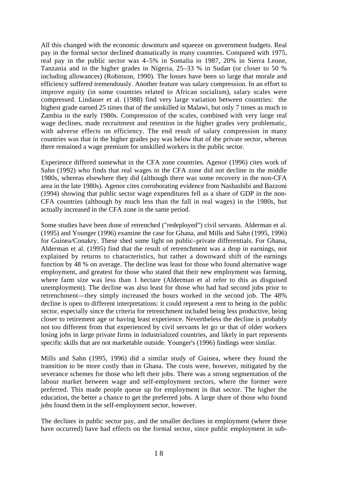All this changed with the economic downturn and squeeze on government budgets. Real pay in the formal sector declined dramatically in many countries. Compared with 1975, real pay in the public sector was 4–5% in Somalia in 1987, 20% in Sierra Leone, Tanzania and in the higher grades in Nigeria, 25–33 % in Sudan (or closer to 50 % including allowances) (Robinson, 1990). The losses have been so large that morale and efficiency suffered tremendously. Another feature was salary compression. In an effort to improve equity (in some countries related to African socialism), salary scales were compressed. Lindauer et al. (1988) find very large variation between countries: the highest grade earned 25 times that of the unskilled in Malawi, but only 7 times as much in Zambia in the early 1980s. Compression of the scales, combined with very large real wage declines, made recruitment and retention in the higher grades very problematic, with adverse effects on efficiency. The end result of salary compression in many countries was that in the higher grades pay was below that of the private sector, whereas there remained a wage premium for unskilled workers in the public sector.

Experience differed somewhat in the CFA zone countries. Agenor (1996) cites work of Sahn (1992) who finds that real wages in the CFA zone did not decline in the middle 1980s, whereas elsewhere they did (although there was some recovery in the non-CFA area in the late 1980s). Agenor cites corroborating evidence from Nashashibi and Bazzoni (1994) showing that public sector wage expenditures fell as a share of GDP in the non-CFA countries (although by much less than the fall in real wages) in the 1980s, but actually increased in the CFA zone in the same period.

Some studies have been done of retrenched ("redeployed") civil servants. Alderman et al. (1995) and Younger (1996) examine the case for Ghana, and Mills and Sahn (1995, 1996) for Guinea/Conakry. These shed some light on public–private differentials. For Ghana, Alderman et al. (1995) find that the result of retrenchment was a drop in earnings, not explained by returns to characteristics, but rather a downward shift of the earnings function by 48 % on average. The decline was least for those who found alternative wage employment, and greatest for those who stated that their new employment was farming, where farm size was less than 1 hectare (Alderman et al refer to this as disguised unemployment). The decline was also least for those who had had second jobs prior to retrenchment—they simply increased the hours worked in the second job. The 48% decline is open to different interpretations: it could represent a rent to being in the public sector, especially since the criteria for retrenchment included being less productive, being closer to retirement age or having least experience. Nevertheless the decline is probably not too different from that experienced by civil servants let go or that of older workers losing jobs in large private firms in industrialized countries, and likely in part represents specific skills that are not marketable outside. Younger's (1996) findings were similar.

Mills and Sahn (1995, 1996) did a similar study of Guinea, where they found the transition to be more costly than in Ghana. The costs were, however, mitigated by the severance schemes for those who left their jobs. There was a strong segmentation of the labour market between wage and self-employment sectors, where the former were preferred. This made people queue up for employment in that sector. The higher the education, the better a chance to get the preferred jobs. A large share of those who found jobs found them in the self-employment sector, however.

The declines in public sector pay, and the smaller declines in employment (where these have occurred) have had effects on the formal sector, since public employment in sub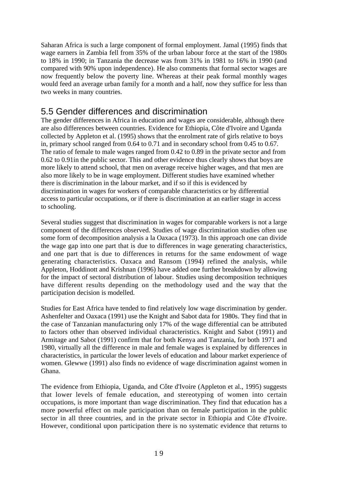Saharan Africa is such a large component of formal employment. Jamal (1995) finds that wage earners in Zambia fell from 35% of the urban labour force at the start of the 1980s to 18% in 1990; in Tanzania the decrease was from 31% in 1981 to 16% in 1990 (and compared with 90% upon independence). He also comments that formal sector wages are now frequently below the poverty line. Whereas at their peak formal monthly wages would feed an average urban family for a month and a half, now they suffice for less than two weeks in many countries.

#### 5.5 Gender differences and discrimination

The gender differences in Africa in education and wages are considerable, although there are also differences between countries. Evidence for Ethiopia, Côte d'Ivoire and Uganda collected by Appleton et al. (1995) shows that the enrolment rate of girls relative to boys in, primary school ranged from 0.64 to 0.71 and in secondary school from 0.45 to 0.67. The ratio of female to male wages ranged from 0.42 to 0.89 in the private sector and from 0.62 to 0.91in the public sector. This and other evidence thus clearly shows that boys are more likely to attend school, that men on average receive higher wages, and that men are also more likely to be in wage employment. Different studies have examined whether there is discrimination in the labour market, and if so if this is evidenced by discrimination in wages for workers of comparable characteristics or by differential access to particular occupations, or if there is discrimination at an earlier stage in access to schooling.

Several studies suggest that discrimination in wages for comparable workers is not a large component of the differences observed. Studies of wage discrimination studies often use some form of decomposition analysis a la Oaxaca (1973). In this approach one can divide the wage gap into one part that is due to differences in wage generating characteristics, and one part that is due to differences in returns for the same endowment of wage generating characteristics. Oaxaca and Ransom (1994) refined the analysis, while Appleton, Hoddinott and Krishnan (1996) have added one further breakdown by allowing for the impact of sectoral distribution of labour. Studies using decomposition techniques have different results depending on the methodology used and the way that the participation decision is modelled.

Studies for East Africa have tended to find relatively low wage discrimination by gender. Ashenfelter and Oaxaca (1991) use the Knight and Sabot data for 1980s. They find that in the case of Tanzanian manufacturing only 17% of the wage differential can be attributed to factors other than observed individual characteristics. Knight and Sabot (1991) and Armitage and Sabot (1991) confirm that for both Kenya and Tanzania, for both 1971 and 1980, virtually all the difference in male and female wages is explained by differences in characteristics, in particular the lower levels of education and labour market experience of women. Glewwe (1991) also finds no evidence of wage discrimination against women in Ghana.

The evidence from Ethiopia, Uganda, and Côte d'Ivoire (Appleton et al., 1995) suggests that lower levels of female education, and stereotyping of women into certain occupations, is more important than wage discrimination. They find that education has a more powerful effect on male participation than on female participation in the public sector in all three countries, and in the private sector in Ethiopia and Côte d'Ivoire. However, conditional upon participation there is no systematic evidence that returns to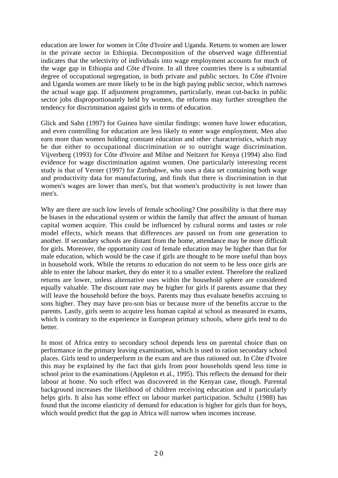education are lower for women in Côte d'Ivoire and Uganda. Returns to women are lower in the private sector in Ethiopia. Decomposition of the observed wage differential indicates that the selectivity of individuals into wage employment accounts for much of the wage gap in Ethiopia and Côte d'Ivoire. In all three countries there is a substantial degree of occupational segregation, in both private and public sectors. In Côte d'Ivoire and Uganda women are more likely to be in the high paying public sector, which narrows the actual wage gap. If adjustment programmes, particularly, mean cut-backs in public sector jobs disproportionately held by women, the reforms may further strengthen the tendency for discrimination against girls in terms of education.

Glick and Sahn (1997) for Guinea have similar findings: women have lower education, and even controlling for education are less likely to enter wage employment. Men also earn more than women holding constant education and other characteristics, which may be due either to occupational discrimination or to outright wage discrimination. Vijverberg (1993) for Côte d'lvoire and Milne and Neitzert for Kenya (1994) also find evidence for wage discrimination against women. One particularly interesting recent study is that of Verner (1997) for Zimbabwe, who uses a data set containing both wage and productivity data for manufacturing, and finds that there is discrimination in that women's wages are lower than men's, but that women's productivity is not lower than men's.

Why are there are such low levels of female schooling? One possibility is that there may be biases in the educational system or within the family that affect the amount of human capital women acquire. This could be influenced by cultural norms and tastes or role model effects, which means that differences are passed on from one generation to another. If secondary schools are distant from the home, attendance may be more difficult for girls. Moreover, the opportunity cost of female education may be higher than that for male education, which would be the case if girls are thought to be more useful than boys in household work. While the returns to education do not seem to be less once girls are able to enter the labour market, they do enter it to a smaller extent. Therefore the realized returns are lower, unless alternative uses within the household sphere are considered equally valuable. The discount rate may be higher for girls if parents assume that they will leave the household before the boys. Parents may thus evaluate benefits accruing to sons higher. They may have pro-son bias or because more of the benefits accrue to the parents. Lastly, girls seem to acquire less human capital at school as measured in exams, which is contrary to the experience in European primary schools, where girls tend to do better.

In most of Africa entry to secondary school depends less on parental choice than on performance in the primary leaving examination, which is used to ration secondary school places. Girls tend to underperform in the exam and are thus rationed out. In Côte d'Ivoire this may be explained by the fact that girls from poor households spend less time in school prior to the examinations (Appleton et al., 1995). This reflects the demand for their labour at home. No such effect was discovered in the Kenyan case, though. Parental background increases the likelihood of children receiving education and it particularly helps girls. It also has some effect on labour market participation. Schultz (1988) has found that the income elasticity of demand for education is higher for girls than for boys, which would predict that the gap in Africa will narrow when incomes increase.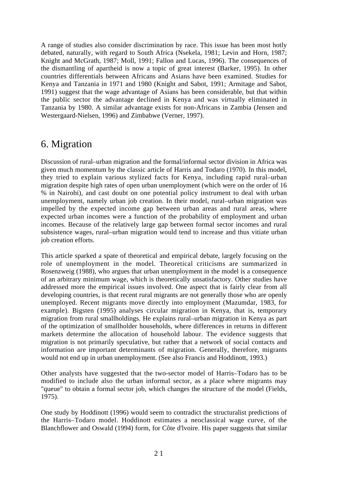A range of studies also consider discrimination by race. This issue has been most hotly debated, naturally, with regard to South Africa (Nsekela, 1981; Levin and Horn, 1987; Knight and McGrath, 1987; Moll, 1991; Fallon and Lucas, 1996). The consequences of the dismantling of apartheid is now a topic of great interest (Barker, 1995). In other countries differentials between Africans and Asians have been examined. Studies for Kenya and Tanzania in 1971 and 1980 (Knight and Sabot, 1991; Armitage and Sabot, 1991) suggest that the wage advantage of Asians has been considerable, but that within the public sector the advantage declined in Kenya and was virtually eliminated in Tanzania by 1980. A similar advantage exists for non-Africans in Zambia (Jensen and Westergaard-Nielsen, 1996) and Zimbabwe (Verner, 1997).

## 6. Migration

Discussion of rural–urban migration and the formal/informal sector division in Africa was given much momentum by the classic article of Harris and Todaro (1970). In this model, they tried to explain various stylized facts for Kenya, including rapid rural–urban migration despite high rates of open urban unemployment (which were on the order of 16 % in Nairobi), and cast doubt on one potential policy instrument to deal with urban unemployment, namely urban job creation. In their model, rural–urban migration was impelled by the expected income gap between urban areas and rural areas, where expected urban incomes were a function of the probability of employment and urban incomes. Because of the relatively large gap between formal sector incomes and rural subsistence wages, rural–urban migration would tend to increase and thus vitiate urban job creation efforts.

This article sparked a spate of theoretical and empirical debate, largely focusing on the role of unemployment in the model. Theoretical criticisms are summarized in Rosenzweig (1988), who argues that urban unemployment in the model is a consequence of an arbitrary minimum wage, which is theoretically unsatisfactory. Other studies have addressed more the empirical issues involved. One aspect that is fairly clear from all developing countries, is that recent rural migrants are not generally those who are openly unemployed. Recent migrants move directly into employment (Mazumdar, 1983, for example). Bigsten (1995) analyses circular migration in Kenya, that is, temporary migration from rural smallholdings. He explains rural–urban migration in Kenya as part of the optimization of smallholder households, where differences in returns in different markets determine the allocation of household labour. The evidence suggests that migration is not primarily speculative, but rather that a network of social contacts and information are important determinants of migration. Generally, therefore, migrants would not end up in urban unemployment. (See also Francis and Hoddinott, 1993.)

Other analysts have suggested that the two-sector model of Harris–Todaro has to be modified to include also the urban informal sector, as a place where migrants may "queue" to obtain a formal sector job, which changes the structure of the model (Fields, 1975).

One study by Hoddinott (1996) would seem to contradict the structuralist predictions of the Harris–Todaro model. Hoddinott estimates a neoclassical wage curve, of the Blanchflower and Oswald (1994) form, for Côte d'lvoire. His paper suggests that similar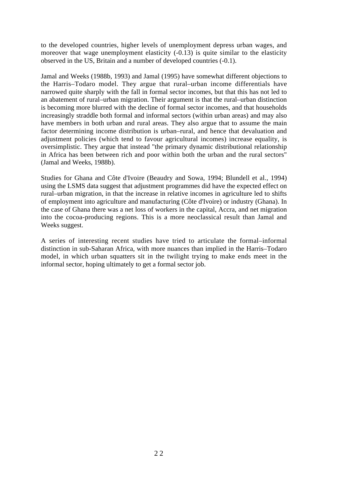to the developed countries, higher levels of unemployment depress urban wages, and moreover that wage unemployment elasticity (-0.13) is quite similar to the elasticity observed in the US, Britain and a number of developed countries (-0.1).

Jamal and Weeks (1988b, 1993) and Jamal (1995) have somewhat different objections to the Harris–Todaro model. They argue that rural–urban income differentials have narrowed quite sharply with the fall in formal sector incomes, but that this has not led to an abatement of rural–urban migration. Their argument is that the rural–urban distinction is becoming more blurred with the decline of formal sector incomes, and that households increasingly straddle both formal and informal sectors (within urban areas) and may also have members in both urban and rural areas. They also argue that to assume the main factor determining income distribution is urban–rural, and hence that devaluation and adjustment policies (which tend to favour agricultural incomes) increase equality, is oversimplistic. They argue that instead "the primary dynamic distributional relationship in Africa has been between rich and poor within both the urban and the rural sectors" (Jamal and Weeks, 1988b).

Studies for Ghana and Côte d'Ivoire (Beaudry and Sowa, 1994; Blundell et al., 1994) using the LSMS data suggest that adjustment programmes did have the expected effect on rural–urban migration, in that the increase in relative incomes in agriculture led to shifts of employment into agriculture and manufacturing (Côte d'Ivoire) or industry (Ghana). In the case of Ghana there was a net loss of workers in the capital, Accra, and net migration into the cocoa-producing regions. This is a more neoclassical result than Jamal and Weeks suggest.

A series of interesting recent studies have tried to articulate the formal–informal distinction in sub-Saharan Africa, with more nuances than implied in the Harris–Todaro model, in which urban squatters sit in the twilight trying to make ends meet in the informal sector, hoping ultimately to get a formal sector job.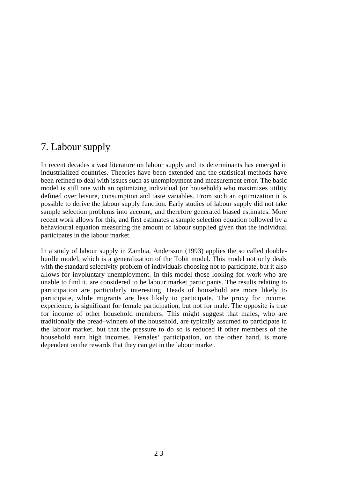# 7. Labour supply

In recent decades a vast literature on labour supply and its determinants has emerged in industrialized countries. Theories have been extended and the statistical methods have been refined to deal with issues such as unemployment and measurement error. The basic model is still one with an optimizing individual (or household) who maximizes utility defined over leisure, consumption and taste variables. From such an optimization it is possible to derive the labour supply function. Early studies of labour supply did not take sample selection problems into account, and therefore generated biased estimates. More recent work allows for this, and first estimates a sample selection equation followed by a behavioural equation measuring the amount of labour supplied given that the individual participates in the labour market.

In a study of labour supply in Zambia, Andersson (1993) applies the so called doublehurdle model, which is a generalization of the Tobit model. This model not only deals with the standard selectivity problem of individuals choosing not to participate, but it also allows for involuntary unemployment. In this model those looking for work who are unable to find it, are considered to be labour market participants. The results relating to participation are particularly interesting. Heads of household are more likely to participate, while migrants are less likely to participate. The proxy for income, experience, is significant for female participation, but not for male. The opposite is true for income of other household members. This might suggest that males, who are traditionally the bread–winners of the household, are typically assumed to participate in the labour market, but that the pressure to do so is reduced if other members of the household earn high incomes. Females' participation, on the other hand, is more dependent on the rewards that they can get in the labour market.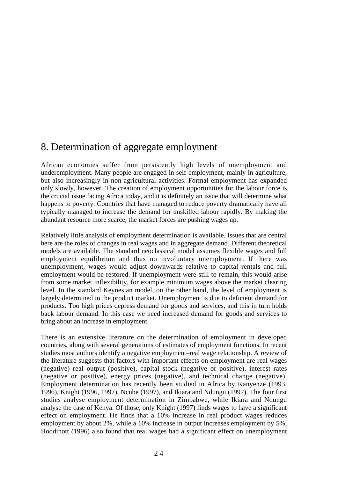## 8. Determination of aggregate employment

African economies suffer from persistently high levels of unemployment and underemployment. Many people are engaged in self-employment, mainly in agriculture, but also increasingly in non-agricultural activities. Formal employment has expanded only slowly, however. The creation of employment opportunities for the labour force is the crucial issue facing Africa today, and it is definitely an issue that will determine what happens to poverty. Countries that have managed to reduce poverty dramatically have all typically managed to increase the demand for unskilled labour rapidly. By making the abundant resource more scarce, the market forces are pushing wages up.

Relatively little analysis of employment determination is available. Issues that are central here are the roles of changes in real wages and in aggregate demand. Different theoretical models are available. The standard neoclassical model assumes flexible wages and full employment equilibrium and thus no involuntary unemployment. If there was unemployment, wages would adjust downwards relative to capital rentals and full employment would be restored. If unemployment were still to remain, this would arise from some market inflexibility, for example minimum wages above the market clearing level. In the standard Keynesian model, on the other hand, the level of employment is largely determined in the product market. Unemployment is due to deficient demand for products. Too high prices depress demand for goods and services, and this in turn holds back labour demand. In this case we need increased demand for goods and services to bring about an increase in employment.

There is an extensive literature on the determination of employment in developed countries, along with several generations of estimates of employment functions. In recent studies most authors identify a negative employment–real wage relationship. A review of the literature suggests that factors with important effects on employment are real wages (negative) real output (positive), capital stock (negative or positive), interest rates (negative or positive), energy prices (negative), and technical change (negative). Employment determination has recently been studied in Africa by Kanyenze (1993, 1996), Knight (1996, 1997), Ncube (1997), and Ikiara and Ndungu (1997). The four first studies analyse employment determination in Zimbabwe, while Ikiara and Ndungu analyse the case of Kenya. Of those, only Knight (1997) finds wages to have a significant effect on employment. He finds that a 10% increase in real product wages reduces employment by about 2%, while a 10% increase in output increases employment by 5%, Hoddinott (1996) also found that real wages had a significant effect on unemployment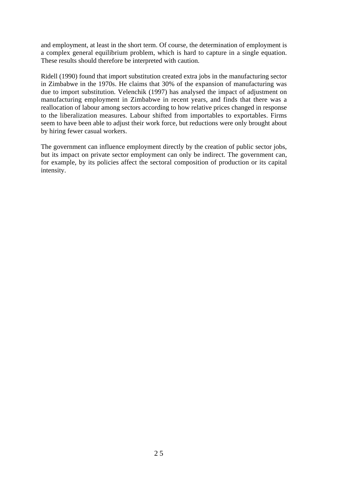and employment, at least in the short term. Of course, the determination of employment is a complex general equilibrium problem, which is hard to capture in a single equation. These results should therefore be interpreted with caution.

Ridell (1990) found that import substitution created extra jobs in the manufacturing sector in Zimbabwe in the 1970s. He claims that 30% of the expansion of manufacturing was due to import substitution. Velenchik (1997) has analysed the impact of adjustment on manufacturing employment in Zimbabwe in recent years, and finds that there was a reallocation of labour among sectors according to how relative prices changed in response to the liberalization measures. Labour shifted from importables to exportables. Firms seem to have been able to adjust their work force, but reductions were only brought about by hiring fewer casual workers.

The government can influence employment directly by the creation of public sector jobs, but its impact on private sector employment can only be indirect. The government can, for example, by its policies affect the sectoral composition of production or its capital intensity.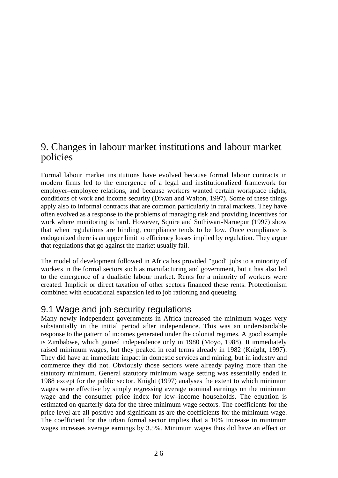## 9. Changes in labour market institutions and labour market policies

Formal labour market institutions have evolved because formal labour contracts in modern firms led to the emergence of a legal and institutionalized framework for employer–employee relations, and because workers wanted certain workplace rights, conditions of work and income security (Diwan and Walton, 1997). Some of these things apply also to informal contracts that are common particularly in rural markets. They have often evolved as a response to the problems of managing risk and providing incentives for work where monitoring is hard. However, Squire and Suthiwart-Naruepur (1997) show that when regulations are binding, compliance tends to be low. Once compliance is endogenized there is an upper limit to efficiency losses implied by regulation. They argue that regulations that go against the market usually fail.

The model of development followed in Africa has provided "good" jobs to a minority of workers in the formal sectors such as manufacturing and government, but it has also led to the emergence of a dualistic labour market. Rents for a minority of workers were created. Implicit or direct taxation of other sectors financed these rents. Protectionism combined with educational expansion led to job rationing and queueing.

#### 9.1 Wage and job security regulations

Many newly independent governments in Africa increased the minimum wages very substantially in the initial period after independence. This was an understandable response to the pattern of incomes generated under the colonial regimes. A good example is Zimbabwe, which gained independence only in 1980 (Moyo, 1988). It immediately raised minimum wages, but they peaked in real terms already in 1982 (Knight, 1997). They did have an immediate impact in domestic services and mining, but in industry and commerce they did not. Obviously those sectors were already paying more than the statutory minimum. General statutory minimum wage setting was essentially ended in 1988 except for the public sector. Knight (1997) analyses the extent to which minimum wages were effective by simply regressing average nominal earnings on the minimum wage and the consumer price index for low–income households. The equation is estimated on quarterly data for the three minimum wage sectors. The coefficients for the price level are all positive and significant as are the coefficients for the minimum wage. The coefficient for the urban formal sector implies that a 10% increase in minimum wages increases average earnings by 3.5%. Minimum wages thus did have an effect on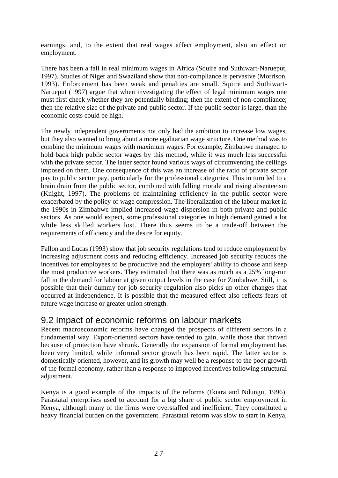earnings, and, to the extent that real wages affect employment, also an effect on employment.

There has been a fall in real minimum wages in Africa (Squire and Suthiwart-Narueput, 1997). Studies of Niger and Swaziland show that non-compliance is pervasive (Morrison, 1993). Enforcement has been weak and penalties are small. Squire and Suthiwart-Narueput (1997) argue that when investigating the effect of legal minimum wages one must first check whether they are potentially binding; then the extent of non-compliance; then the relative size of the private and public sector. If the public sector is large, than the economic costs could be high.

The newly independent governments not only had the ambition to increase low wages, but they also wanted to bring about a more egalitarian wage structure. One method was to combine the minimum wages with maximum wages. For example, Zimbabwe managed to hold back high public sector wages by this method, while it was much less successful with the private sector. The latter sector found various ways of circumventing the ceilings imposed on them. One consequence of this was an increase of the ratio of private sector pay to public sector pay, particularly for the professional categories. This in turn led to a brain drain from the public sector, combined with falling morale and rising absenteeism (Knight, 1997). The problems of maintaining efficiency in the public sector were exacerbated by the policy of wage compression. The liberalization of the labour market in the 1990s in Zimbabwe implied increased wage dispersion in both private and public sectors. As one would expect, some professional categories in high demand gained a lot while less skilled workers lost. There thus seems to be a trade-off between the requirements of efficiency and the desire for equity.

Fallon and Lucas (1993) show that job security regulations tend to reduce employment by increasing adjustment costs and reducing efficiency. Increased job security reduces the incentives for employees to be productive and the employers' ability to choose and keep the most productive workers. They estimated that there was as much as a 25% long-run fall in the demand for labour at given output levels in the case for Zimbabwe. Still, it is possible that their dummy for job security regulation also picks up other changes that occurred at independence. It is possible that the measured effect also reflects fears of future wage increase or greater union strength.

#### 9.2 Impact of economic reforms on labour markets

Recent macroeconomic reforms have changed the prospects of different sectors in a fundamental way. Export-oriented sectors have tended to gain, while those that thrived because of protection have shrunk. Generally the expansion of formal employment has been very limited, while informal sector growth has been rapid. The latter sector is domestically oriented, however, and its growth may well be a response to the poor growth of the formal economy, rather than a response to improved incentives following structural adjustment.

Kenya is a good example of the impacts of the reforms (Ikiara and Ndungu, 1996). Parastatal enterprises used to account for a big share of public sector employment in Kenya, although many of the firms were overstaffed and inefficient. They constituted a heavy financial burden on the government. Parastatal reform was slow to start in Kenya,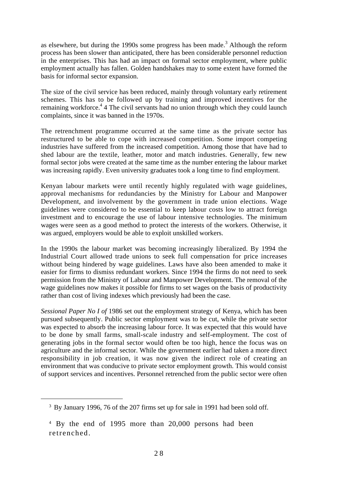as elsewhere, but during the 1990s some progress has been made.<sup>3</sup> Although the reform process has been slower than anticipated, there has been considerable personnel reduction in the enterprises. This has had an impact on formal sector employment, where public employment actually has fallen. Golden handshakes may to some extent have formed the basis for informal sector expansion.

The size of the civil service has been reduced, mainly through voluntary early retirement schemes. This has to be followed up by training and improved incentives for the remaining workforce.<sup>4</sup> 4 The civil servants had no union through which they could launch complaints, since it was banned in the 1970s.

The retrenchment programme occurred at the same time as the private sector has restructured to be able to cope with increased competition. Some import competing industries have suffered from the increased competition. Among those that have had to shed labour are the textile, leather, motor and match industries. Generally, few new formal sector jobs were created at the same time as the number entering the labour market was increasing rapidly. Even university graduates took a long time to find employment.

Kenyan labour markets were until recently highly regulated with wage guidelines, approval mechanisms for redundancies by the Ministry for Labour and Manpower Development, and involvement by the government in trade union elections. Wage guidelines were considered to be essential to keep labour costs low to attract foreign investment and to encourage the use of labour intensive technologies. The minimum wages were seen as a good method to protect the interests of the workers. Otherwise, it was argued, employers would be able to exploit unskilled workers.

In the 1990s the labour market was becoming increasingly liberalized. By 1994 the Industrial Court allowed trade unions to seek full compensation for price increases without being hindered by wage guidelines. Laws have also been amended to make it easier for firms to dismiss redundant workers. Since 1994 the firms do not need to seek permission from the Ministry of Labour and Manpower Development. The removal of the wage guidelines now makes it possible for firms to set wages on the basis of productivity rather than cost of living indexes which previously had been the case.

*Sessional Paper No I of* 1986 set out the employment strategy of Kenya, which has been pursued subsequently. Public sector employment was to be cut, while the private sector was expected to absorb the increasing labour force. It was expected that this would have to be done by small farms, small-scale industry and self-employment. The cost of generating jobs in the formal sector would often be too high, hence the focus was on agriculture and the informal sector. While the government earlier had taken a more direct responsibility in job creation, it was now given the indirect role of creating an environment that was conducive to private sector employment growth. This would consist of support services and incentives. Personnel retrenched from the public sector were often

<sup>&</sup>lt;sup>3</sup> By January 1996, 76 of the 207 firms set up for sale in 1991 had been sold off.

<sup>4</sup> By the end of 1995 more than 20,000 persons had been retrenched.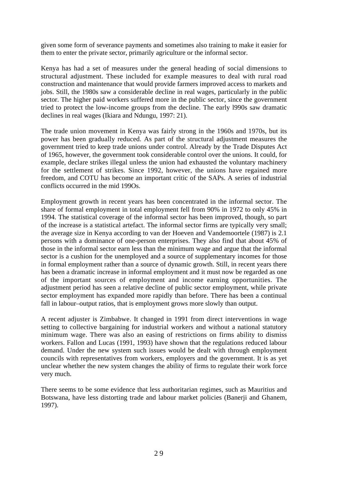given some form of severance payments and sometimes also training to make it easier for them to enter the private sector, primarily agriculture or the informal sector.

Kenya has had a set of measures under the general heading of social dimensions to structural adjustment. These included for example measures to deal with rural road construction and maintenance that would provide farmers improved access to markets and jobs. Still, the 1980s saw a considerable decline in real wages, particularly in the public sector. The higher paid workers suffered more in the public sector, since the government tried to protect the low-income groups from the decline. The early l990s saw dramatic declines in real wages (Ikiara and Ndungu, 1997: 21).

The trade union movement in Kenya was fairly strong in the 1960s and 1970s, but its power has been gradually reduced. As part of the structural adjustment measures the government tried to keep trade unions under control. Already by the Trade Disputes Act of 1965, however, the government took considerable control over the unions. It could, for example, declare strikes illegal unless the union had exhausted the voluntary machinery for the settlement of strikes. Since 1992, however, the unions have regained more freedom, and COTU has become an important critic of the SAPs. A series of industrial conflicts occurred in the mid 199Os.

Employment growth in recent years has been concentrated in the informal sector. The share of formal employment in total employment fell from 90% in 1972 to only 45% in 1994. The statistical coverage of the informal sector has been improved, though, so part of the increase is a statistical artefact. The informal sector firms are typically very small; the average size in Kenya according to van der Hoeven and Vandemoortele (1987) is 2.1 persons with a dominance of one-person enterprises. They also find that about 45% of those in the informal sector earn less than the minimum wage and argue that the informal sector is a cushion for the unemployed and a source of supplementary incomes for those in formal employment rather than a source of dynamic growth. Still, in recent years there has been a dramatic increase in informal employment and it must now be regarded as one of the important sources of employment and income earning opportunities. The adjustment period has seen a relative decline of public sector employment, while private sector employment has expanded more rapidly than before. There has been a continual fall in labour–output ratios, that is employment grows more slowly than output.

A recent adjuster is Zimbabwe. It changed in 1991 from direct interventions in wage setting to collective bargaining for industrial workers and without a national statutory minimum wage. There was also an easing of restrictions on firms ability to dismiss workers. Fallon and Lucas (1991, 1993) have shown that the regulations reduced labour demand. Under the new system such issues would be dealt with through employment councils with representatives from workers, employers and the government. It is as yet unclear whether the new system changes the ability of firms to regulate their work force very much.

There seems to be some evidence that less authoritarian regimes, such as Mauritius and Botswana, have less distorting trade and labour market policies (Banerji and Ghanem, 1997).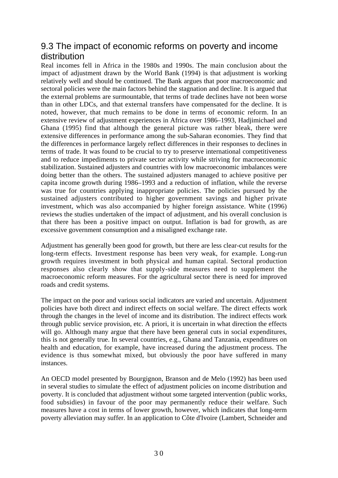#### 9.3 The impact of economic reforms on poverty and income distribution

Real incomes fell in Africa in the 1980s and 1990s. The main conclusion about the impact of adjustment drawn by the World Bank (1994) is that adjustment is working relatively well and should be continued. The Bank argues that poor macroeconomic and sectoral policies were the main factors behind the stagnation and decline. It is argued that the external problems are surmountable, that terms of trade declines have not been worse than in other LDCs, and that external transfers have compensated for the decline. It is noted, however, that much remains to be done in terms of economic reform. In an extensive review of adjustment experiences in Africa over 1986–1993, Hadjimichael and Ghana (1995) find that although the general picture was rather bleak, there were extensive differences in performance among the sub-Saharan economies. They find that the differences in performance largely reflect differences in their responses to declines in terms of trade. It was found to be crucial to try to preserve international competitiveness and to reduce impediments to private sector activity while striving for macroeconomic stabilization. Sustained adjusters and countries with low macroeconomic imbalances were doing better than the others. The sustained adjusters managed to achieve positive per capita income growth during 1986–1993 and a reduction of inflation, while the reverse was true for countries applying inappropriate policies. The policies pursued by the sustained adjusters contributed to higher government savings and higher private investment, which was also accompanied by higher foreign assistance. White (1996) reviews the studies undertaken of the impact of adjustment, and his overall conclusion is that there has been a positive impact on output. Inflation is bad for growth, as are excessive government consumption and a misaligned exchange rate.

Adjustment has generally been good for growth, but there are less clear-cut results for the long-term effects. Investment response has been very weak, for example. Long-run growth requires investment in both physical and human capital. Sectoral production responses also clearly show that supply-side measures need to supplement the macroeconomic reform measures. For the agricultural sector there is need for improved roads and credit systems.

The impact on the poor and various social indicators are varied and uncertain. Adjustment policies have both direct and indirect effects on social welfare. The direct effects work through the changes in the level of income and its distribution. The indirect effects work through public service provision, etc. A priori, it is uncertain in what direction the effects will go. Although many argue that there have been general cuts in social expenditures, this is not generally true. In several countries, e.g., Ghana and Tanzania, expenditures on health and education, for example, have increased during the adjustment process. The evidence is thus somewhat mixed, but obviously the poor have suffered in many instances.

An OECD model presented by Bourgignon, Branson and de Melo (1992) has been used in several studies to simulate the effect of adjustment policies on income distribution and poverty. It is concluded that adjustment without some targeted intervention (public works, food subsidies) in favour of the poor may permanently reduce their welfare. Such measures have a cost in terms of lower growth, however, which indicates that long-term poverty alleviation may suffer. In an application to Côte d'Ivoire (Lambert, Schneider and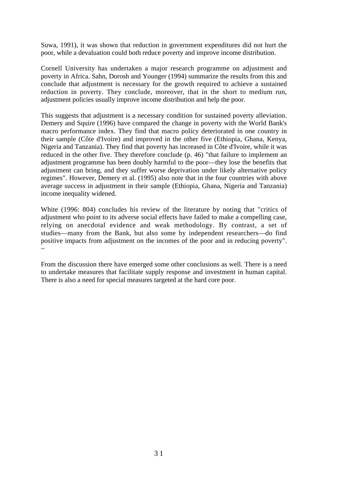Suwa, 1991), it was shown that reduction in government expenditures did not hurt the poor, while a devaluation could both reduce poverty and improve income distribution.

Cornell University has undertaken a major research programme on adjustment and poverty in Africa. Sahn, Dorosh and Younger (1994) summarize the results from this and conclude that adjustment is necessary for the growth required to achieve a sustained reduction in poverty. They conclude, moreover, that in the short to medium run, adjustment policies usually improve income distribution and help the poor.

This suggests that adjustment is a necessary condition for sustained poverty alleviation. Demery and Squire (1996) have compared the change in poverty with the World Bank's macro performance index. They find that macro policy deteriorated in one country in their sample (Côte d'Ivoire) and improved in the other five (Ethiopia, Ghana, Kenya, Nigeria and Tanzania). They find that poverty has increased in Côte d'Ivoire, while it was reduced in the other five. They therefore conclude (p. 46) "that failure to implement an adjustment programme has been doubly harmful to the poor—they lose the benefits that adjustment can bring, and they suffer worse deprivation under likely alternative policy regimes". However, Demery et al. (1995) also note that in the four countries with above average success in adjustment in their sample (Ethiopia, Ghana, Nigeria and Tanzania) income inequality widened.

White (1996: 804) concludes his review of the literature by noting that "critics of adjustment who point to its adverse social effects have failed to make a compelling case, relying on anecdotal evidence and weak methodology. By contrast, a set of studies—many from the Bank, but also some by independent researchers—do find positive impacts from adjustment on the incomes of the poor and in reducing poverty". ~

From the discussion there have emerged some other conclusions as well. There is a need to undertake measures that facilitate supply response and investment in human capital. There is also a need for special measures targeted at the hard core poor.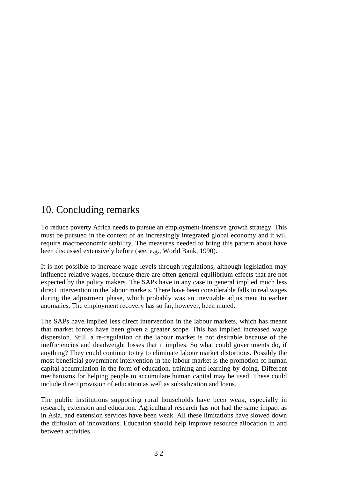# 10. Concluding remarks

To reduce poverty Africa needs to pursue an employment-intensive growth strategy. This must be pursued in the context of an increasingly integrated global economy and it will require macroeconomic stability. The measures needed to bring this pattern about have been discussed extensively before (see, e.g., World Bank, 1990).

It is not possible to increase wage levels through regulations, although legislation may influence relative wages, because there are often general equilibrium effects that are not expected by the policy makers. The SAPs have in any case in general implied much less direct intervention in the labour markets. There have been considerable falls in real wages during the adjustment phase, which probably was an inevitable adjustment to earlier anomalies. The employment recovery has so far, however, been muted.

The SAPs have implied less direct intervention in the labour markets, which has meant that market forces have been given a greater scope. This has implied increased wage dispersion. Still, a re-regulation of the labour market is not desirable because of the inefficiencies and deadweight losses that it implies. So what could governments do, if anything? They could continue to try to eliminate labour market distortions. Possibly the most beneficial government intervention in the labour market is the promotion of human capital accumulation in the form of education, training and learning-by-doing. Different mechanisms for helping people to accumulate human capital may be used. These could include direct provision of education as well as subsidization and loans.

The public institutions supporting rural households have been weak, especially in research, extension and education. Agricultural research has not had the same impact as in Asia, and extension services have been weak. All these limitations have slowed down the diffusion of innovations. Education should help improve resource allocation in and between activities.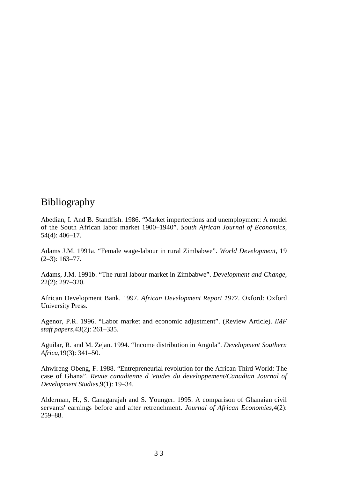## Bibliography

Abedian, I. And B. Standfish. 1986. "Market imperfections and unemployment: A model of the South African labor market 1900–1940". *South African Journal of Economics,* 54(4): 406–17.

Adams J.M. 1991a. "Female wage-labour in rural Zimbabwe". *World Development,* 19  $(2-3)$ : 163-77.

Adams, J.M. 1991b. "The rural labour market in Zimbabwe". *Development and Change,* 22(2): 297–320.

African Development Bank. 1997. *African Development Report 1977.* Oxford: Oxford University Press.

Agenor, P.R. 1996. "Labor market and economic adjustment". (Review Article). *IMF staff papers,*43(2): 261–335.

Aguilar, R. and M. Zejan. 1994. "Income distribution in Angola". *Development Southern Africa,*19(3): 341–50.

Ahwireng-Obeng, F. 1988. "Entrepreneurial revolution for the African Third World: The case of Ghana". *Revue canadienne d 'etudes du developpement/Canadian Journal of Development Studies,*9(1): 19–34.

Alderman, H., S. Canagarajah and S. Younger. 1995. A comparison of Ghanaian civil servants' earnings before and after retrenchment. *Journal of African Economies,*4(2): 259–88.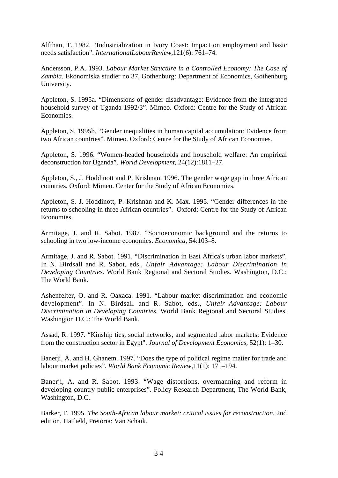Alfthan, T. 1982. "Industrialization in Ivory Coast: Impact on employment and basic needs satisfaction". *InternationalLabourReview,*121(6): 761–74.

Andersson, P.A. 1993. *Labour Market Structure in a Controlled Economy: The Case of Zambia.* Ekonomiska studier no 37, Gothenburg: Department of Economics, Gothenburg University.

Appleton, S. 1995a. "Dimensions of gender disadvantage: Evidence from the integrated household survey of Uganda 1992/3". Mimeo. Oxford: Centre for the Study of African Economies.

Appleton, S. 1995b. "Gender inequalities in human capital accumulation: Evidence from two African countries". Mimeo. Oxford: Centre for the Study of African Economies.

Appleton, S. 1996. "Women-headed households and household welfare: An empirical deconstruction for Uganda". *World Development,* 24(12):1811–27.

Appleton, S., J. Hoddinott and P. Krishnan. 1996. The gender wage gap in three African countries. Oxford: Mimeo. Center for the Study of African Economies.

Appleton, S. J. Hoddinott, P. Krishnan and K. Max. 1995. "Gender differences in the returns to schooling in three African countries". Oxford: Centre for the Study of African Economies.

Armitage, J. and R. Sabot. 1987. "Socioeconomic background and the returns to schooling in two low-income economies. *Economica,* 54:103–8.

Armitage, J. and R. Sabot. 1991. "Discrimination in East Africa's urban labor markets". In N. Birdsall and R. Sabot, eds., *Unfair Advantage: Labour Discrimination in Developing Countries.* World Bank Regional and Sectoral Studies. Washington, D.C.: The World Bank.

Ashenfelter, O. and R. Oaxaca. 1991. "Labour market discrimination and economic development". In N. Birdsall and R. Sabot, eds., *Unfair Advantage: Labour Discrimination in Developing Countries.* World Bank Regional and Sectoral Studies. Washington D.C.: The World Bank.

Assad, R. 1997. "Kinship ties, social networks, and segmented labor markets: Evidence from the construction sector in Egypt". *Journal of Development Economics,* 52(1): 1–30.

Banerii, A. and H. Ghanem. 1997. "Does the type of political regime matter for trade and labour market policies". *World Bank Economic Review,*11(1): 171–194.

Banerji, A. and R. Sabot. 1993. "Wage distortions, overmanning and reform in developing country public enterprises". Policy Research Department, The World Bank, Washington, D.C.

Barker, F. 1995. *The South-African labour market: critical issues for reconstruction.* 2nd edition. Hatfield, Pretoria: Van Schaik.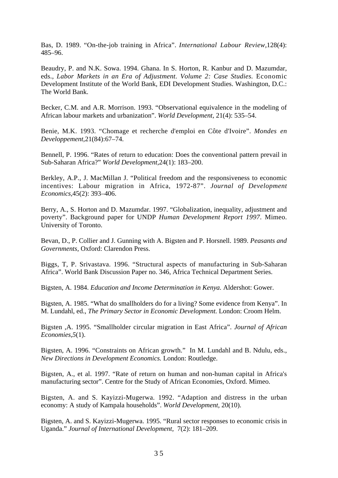Bas, D. 1989. "On-the-job training in Africa". *International Labour Review,*128(4): 485–96.

Beaudry, P. and N.K. Sowa. 1994. Ghana. In S. Horton, R. Kanbur and D. Mazumdar, eds., *Labor Markets in an Era of Adjustment. Volume 2: Case Studies. Economic* Development Institute of the World Bank, EDI Development Studies. Washington, D.C.: The World Bank.

Becker, C.M. and A.R. Morrison. 1993. "Observational equivalence in the modeling of African labour markets and urbanization". *World Development,* 21(4): 535–54.

Benie, M.K. 1993. "Chomage et recherche d'emploi en Côte d'Ivoire". *Mondes en Developpement,*21(84):67–74.

Bennell, P. 1996. "Rates of return to education: Does the conventional pattern prevail in Sub-Saharan Africa?" *World Development,*24(1): 183–200.

Berkley, A.P., J. MacMillan J. "Political freedom and the responsiveness to economic incentives: Labour migration in Africa, 1972-87". *Journal of Development Economics,*45(2): 393–406.

Berry, A., S. Horton and D. Mazumdar. 1997. "Globalization, inequality, adjustment and poverty". Background paper for UNDP *Human Development Report 1997*. Mimeo. University of Toronto.

Bevan, D., P. Collier and J. Gunning with A. Bigsten and P. Horsnell. 1989. *Peasants and Governments,* Oxford: Clarendon Press.

Biggs, T, P. Srivastava. 1996. "Structural aspects of manufacturing in Sub-Saharan Africa". World Bank Discussion Paper no. 346, Africa Technical Department Series.

Bigsten, A. 1984. *Education and Income Determination in Kenya.* Aldershot: Gower.

Bigsten, A. 1985. "What do smallholders do for a living? Some evidence from Kenya". In M. Lundahl, ed., *The Primary Sector in Economic Development.* London: Croom Helm.

Bigsten ,A. 1995. "Smallholder circular migration in East Africa". *Journal of African Economies,5*(1).

Bigsten, A. 1996. "Constraints on African growth." In M. Lundahl and B. Ndulu, eds., *New Directions in Development Economics.* London: Routledge.

Bigsten, A., et al. 1997. "Rate of return on human and non-human capital in Africa's manufacturing sector". Centre for the Study of African Economies, Oxford. Mimeo.

Bigsten, A. and S. Kayizzi-Mugerwa. 1992. "Adaption and distress in the urban economy: A study of Kampala households". *World Development,* 20(10).

Bigsten, A. and S. Kayizzi-Mugerwa. 1995. "Rural sector responses to economic crisis in Uganda." *Journal of International Development,* 7(2): 181–209.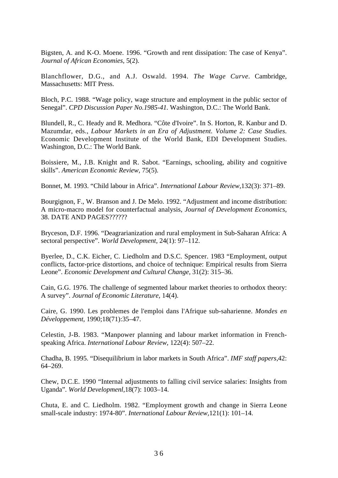Bigsten, A. and K-O. Moene. 1996. "Growth and rent dissipation: The case of Kenya". *Journal of African Economies,* 5(2).

Blanchflower, D.G., and A.J. Oswald. 1994. *The Wage Curve.* Cambridge, Massachusetts: MIT Press.

Bloch, P.C. 1988. "Wage policy, wage structure and employment in the public sector of Senegal". *CPD Discussion Paper No.1985-41.* Washington, D.C.: The World Bank.

Blundell, R., C. Heady and R. Medhora. "Côte d'Ivoire". In S. Horton, R. Kanbur and D. Mazumdar, eds., *Labour Markets in an Era of Adjustment. Volume 2: Case Studies.* Economic Development Institute of the World Bank, EDI Development Studies. Washington, D.C.: The World Bank.

Boissiere, M., J.B. Knight and R. Sabot. "Earnings, schooling, ability and cognitive skills". *American Economic Review,* 75(5).

Bonnet, M. 1993. "Child labour in Africa". *International Labour Review,*132(3): 371–89.

Bourgignon, F., W. Branson and J. De Melo. 1992. "Adjustment and income distribution: A micro-macro model for counterfactual analysis, *Journal of Development Economics,* 38. DATE AND PAGES??????

Bryceson, D.F. 1996. "Deagrarianization and rural employment in Sub-Saharan Africa: A sectoral perspective". *World Development,* 24(1): 97–112.

Byerlee, D., C.K. Eicher, C. Liedholm and D.S.C. Spencer. 1983 "Employment, output conflicts, factor-price distortions, and choice of technique: Empirical results from Sierra Leone". *Economic Development and Cultural Change,* 31(2): 315–36.

Cain, G.G. 1976. The challenge of segmented labour market theories to orthodox theory: A survey". *Journal of Economic Literature,* 14(4).

Caire, G. 1990. Les problemes de l'emploi dans l'Afrique sub-saharienne. *Mondes en Développement,* 1990;18(71):35–47.

Celestin, J-B. 1983. "Manpower planning and labour market information in Frenchspeaking Africa. *International Labour Review,* 122(4): 507–22.

Chadha, B. 1995. "Disequilibrium in labor markets in South Africa". *IMF staff papers,*42: 64–269.

Chew, D.C.E. 1990 "Internal adjustments to falling civil service salaries: Insights from Uganda". *World Developmenl,*18(7): 1003–14.

Chuta, E. and C. Liedholm. 1982. "Employment growth and change in Sierra Leone small-scale industry: 1974-80". *International Labour Review,*121(1): 101–14.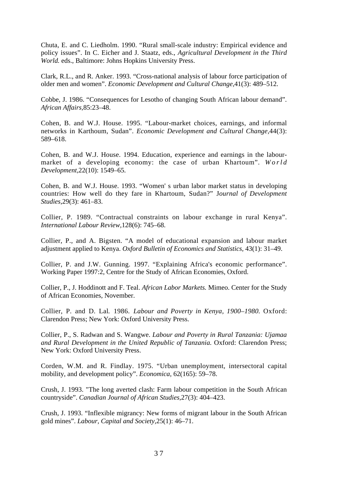Chuta, E. and C. Liedholm. 1990. "Rural small-scale industry: Empirical evidence and policy issues". In C. Eicher and J. Staatz, eds., *Agricultural Development in the Third World.* eds., Baltimore: Johns Hopkins University Press.

Clark, R.L., and R. Anker. 1993. "Cross-national analysis of labour force participation of older men and women". *Economic Development and Cultural Change,*41(3): 489–512.

Cobbe, J. 1986. "Consequences for Lesotho of changing South African labour demand". *African Affairs,*85:23–48.

Cohen, B. and W.J. House. 1995. "Labour-market choices, earnings, and informal networks in Karthoum, Sudan". *Economic Development and Cultural Change,*44(3): 589–618.

Cohen, B. and W.J. House. 1994. Education, experience and earnings in the labourmarket of a developing economy: the case of urban Khartoum". *World Development,*22(10): 1549–65.

Cohen, B. and W.J. House. 1993. "Women' s urban labor market status in developing countries: How well do they fare in Khartoum, Sudan?" J*ournal of Development Studies,*29(3): 461–83.

Collier, P. 1989. "Contractual constraints on labour exchange in rural Kenya". *International Labour Review,*128(6): 745–68.

Collier, P., and A. Bigsten. "A model of educational expansion and labour market adjustment applied to Kenya. *Oxford Bulletin of Economics and Statistics,* 43(1): 31–49.

Collier, P. and J.W. Gunning. 1997. "Explaining Africa's economic performance". Working Paper 1997:2, Centre for the Study of African Economies, Oxford.

Collier, P., J. Hoddinott and F. Teal. *African Labor Markets.* Mimeo. Center for the Study of African Economies, November.

Collier, P. and D. Lal*.* 1986. *Labour and Poverty in Kenya, 1900–1980.* Oxford: Clarendon Press; New York: Oxford University Press.

Collier, P., S. Radwan and S. Wangwe. *Labour and Poverty in Rural Tanzania: Ujamaa and Rural Development in the United Republic of Tanzania.* Oxford: Clarendon Press; New York: Oxford University Press.

Corden, W.M. and R. Findlay. 1975. "Urban unemployment, intersectoral capital mobility, and development policy". *Economica,* 62(165): 59–78.

Crush, J. 1993. "The long averted clash: Farm labour competition in the South African countryside". *Canadian Journal of African Studies,*27(3): 404–423.

Crush, J. 1993. "Inflexible migrancy: New forms of migrant labour in the South African gold mines". *Labour, Capital and Society,*25(1): 46–71.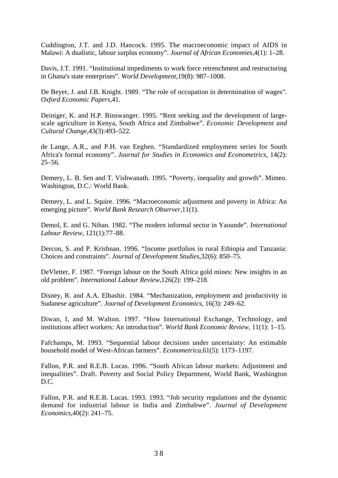Cuddington, J.T. and J.D. Hancock. 1995. The macroeconomic impact of AIDS in Malawi: A dualistic, labour surplus economy". *Journal of African Economies,*4(1): 1–28.

Davis, J.T. 1991. "Institutional impediments to work force retrenchment and restructuring in Ghana's state enterprises". *World Development,*19(8): 987–1008.

De Beyer, J. and J.B. Knight. 1989. "The role of occupation in determination of wages". *Oxford Economic Papers,*41.

Deiniger, K. and H.P. Binswanger. 1995. "Rent seeking and the development of largescale agriculture in Kenya, South Africa and Zimbabwe". *Economic Development and Cultural Change,*43(3):493–522.

de Lange, A.R., and P.H. van Eeghen. "Standardized employment series for South Africa's formal economy". *Journal for Studies in Economics and Econometrics,* 14(2):  $25 - 56.$ 

Demery, L. B. Sen and T. Vishwanath. 1995. "Poverty, inequality and growth". Mimeo. Washington, D.C.: World Bank.

Demery, L. and L. Squire. 1996. "Macroeconomic adjustment and poverty in Africa: An emerging picture". *World Bank Research Observer,*11(1).

Demol, E. and G. Nihan. 1982. "The modern informal sector in Yaounde". *International Labour Review,* 121(1):77–88.

Dercon, S. and P. Krishnan. 1996. "Income portfolios in rural Ethiopia and Tanzania: Choices and constraints". *Journal of Development Studies,*32(6): 850–75.

DeVletter, F. 1987. "Foreign labour on the South Africa gold mines: New insights in an old problem". *International Labour Review,*126(2): 199–218.

Disney, R. and A.A. Elbashir. 1984. "Mechanization, employment and productivity in Sudanese agriculture". *Journal of Development Economics,* 16(3): 249–62.

Diwan, I, and M. Walton. 1997. "How International Exchange, Technology, and institutions affect workers: An introduction". *World Bank Economic Review,* 11(1): 1–15.

Fafchamps, M. 1993. "Sequential labour decisions under uncertainty: An estimable household model of West-African farmers". *Econometrica,*61(5): 1173–1197.

Fallon, P.R. and R.E.B. Lucas. 1996. "South African labour markets: Adjustment and inequalities". Draft. Poverty and Social Policy Department, World Bank, Washington D.C.

Fallon, P.R. and R.E.B. Lucas. 1993. 1993. "Job security regulations and the dynamic demand for industrial labour in India and Zimbabwe". *Journal of Development Economics,*40(2): 241–75.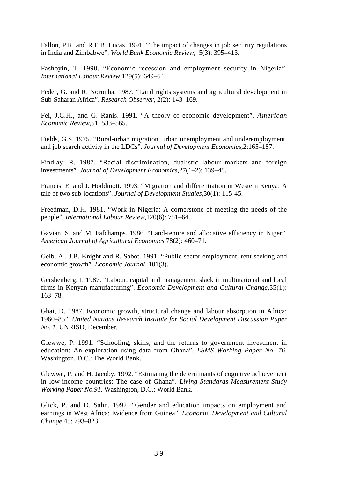Fallon, P.R. and R.E.B. Lucas. 1991. "The impact of changes in job security regulations in India and Zimbabwe". *World Bank Economic Review,* 5(3): 395–413.

Fashoyin, T. 1990. "Economic recession and employment security in Nigeria". *International Labour Review,*129(5): 649–64.

Feder, G. and R. Noronha. 1987. "Land rights systems and agricultural development in Sub-Saharan Africa". *Research Observer,* 2(2): 143–169.

Fei, J.C.H., and G. Ranis. 1991. "A theory of economic development". *American Economic Review,*51: 533–565.

Fields, G.S. 1975. "Rural-urban migration, urban unemployment and underemployment, and job search activity in the LDCs". *Journal of Development Economics,*2:165–187.

Findlay, R. 1987. "Racial discrimination, dualistic labour markets and foreign investments". *Journal of Development Economics,*27(1–2): 139–48.

Francis, E. and J. Hoddinott. 1993. "Migration and differentiation in Western Kenya: A tale of two sub-locations". *Journal of Development Studies,*30(1): 115-45.

Freedman, D.H. 1981. "Work in Nigeria: A cornerstone of meeting the needs of the people". *International Labour Review,*120(6): 751–64.

Gavian, S. and M. Fafchamps. 1986. "Land-tenure and allocative efficiency in Niger". *American Journal of Agricultural Economics,*78(2): 460–71.

Gelb, A., J.B. Knight and R. Sabot. 1991. "Public sector employment, rent seeking and economic growth". *Economic Journal,* 101(3).

Gershenberg, I. 1987. "Labour, capital and management slack in multinational and local firms in Kenyan manufacturing". *Economic Development and Cultural Change,*35(1): 163–78.

Ghai, D. 1987. Economic growth, structural change and labour absorption in Africa: 1960–85". *United Nations Research Institute for Social Development Discussion Paper No. 1.* UNRISD, December.

Glewwe, P. 1991. "Schooling, skills, and the returns to government investment in education: An exploration using data from Ghana". *LSMS Working Paper No. 76.* Washington, D.C.: The World Bank.

Glewwe, P. and H. Jacoby. 1992. "Estimating the determinants of cognitive achievement in low-income countries: The case of Ghana". *Living Standards Measurement Study Working Paper No.91.* Washington, D.C.: World Bank.

Glick, P. and D. Sahn. 1992. "Gender and education impacts on employment and earnings in West Africa: Evidence from Guinea". *Economic Development and Cultural Change,*45: 793–823.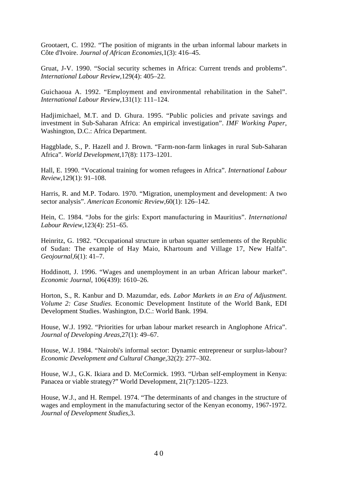Grootaert, C. 1992. "The position of migrants in the urban informal labour markets in Côte d'Ivoire. *Journal of African Economies,*1(3): 416–45.

Gruat, J-V. 1990. "Social security schemes in Africa: Current trends and problems". *International Labour Review,*129(4): 405–22.

Guichaoua A. 1992. "Employment and environmental rehabilitation in the Sahel". *International Labour Review,*131(1): 111–124.

Hadjimichael, M.T. and D. Ghura. 1995. "Public policies and private savings and investment in Sub-Saharan Africa: An empirical investigation". *IMF Working Paper*, Washington, D.C.: Africa Department.

Haggblade, S., P. Hazell and J. Brown. "Farm-non-farm linkages in rural Sub-Saharan Africa". *World Development,*17(8): 1173–1201.

Hall, E. 1990. "Vocational training for women refugees in Africa". *International Labour Review,*129(1): 91–108.

Harris, R. and M.P. Todaro. 1970. "Migration, unemployment and development: A two sector analysis". *American Economic Review,*60(1): 126–142.

Hein, C. 1984. "Jobs for the girls: Export manufacturing in Mauritius". *International Labour Review,*123(4): 251–65.

Heinritz, G. 1982. "Occupational structure in urban squatter settlements of the Republic of Sudan: The example of Hay Maio, Khartoum and Village 17, New Halfa". *Geojournal,*6(1): 41–7.

Hoddinott, J. 1996. "Wages and unemployment in an urban African labour market". *Economic Journal,* 106(439): 1610–26.

Horton, S., R. Kanbur and D. Mazumdar, eds. *Labor Markets in an Era of Adjustment. Volume 2: Case Studies.* Economic Development Institute of the World Bank, EDI Development Studies. Washington, D.C.: World Bank. 1994.

House, W.J. 1992. "Priorities for urban labour market research in Anglophone Africa". *Journal of Developing Areas,*27(1): 49–67.

House, W.J. 1984. "Nairobi's informal sector: Dynamic entrepreneur or surplus-labour? *Economic Development and Cultural Change,*32(2): 277–302.

House, W.J., G.K. Ikiara and D. McCormick. 1993. "Urban self-employment in Kenya: Panacea or viable strategy?" World Development, 21(7):1205–1223.

House, W.J., and H. Rempel. 1974. "The determinants of and changes in the structure of wages and employment in the manufacturing sector of the Kenyan economy, 1967-1972. *Journal of Development Studies,*3.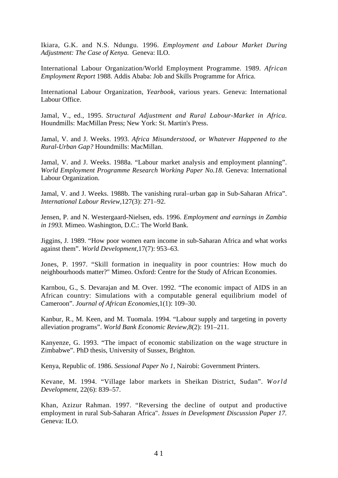Ikiara, G.K. and N.S. Ndungu. 1996. *Employment and Labour Market During Adjustment: The Case of Kenya.* Geneva: ILO.

International Labour Organization/World Employment Programme. 1989. *African Employment Report* 1988. Addis Ababa: Job and Skills Programme for Africa.

International Labour Organization, *Yearbook,* various years. Geneva: International Labour Office.

Jamal, V., ed., 1995. *Structural Adjustment and Rural Labour-Market in Africa.* Houndmills: MacMillan Press; New York: St. Martin's Press.

Jamal, V. and J. Weeks. 1993. *Africa Misunderstood, or Whatever Happened to the Rural-Urban Gap?* Houndmills: MacMillan.

Jamal, V. and J. Weeks. 1988a. "Labour market analysis and employment planning". *World Employment Programme Research Working Paper No.18. Geneva: International* Labour Organization.

Jamal, V. and J. Weeks. 1988b. The vanishing rural–urban gap in Sub-Saharan Africa". *International Labour Review,*127(3): 271–92.

Jensen, P. and N. Westergaard-Nielsen, eds. 1996. *Employment and earnings in Zambia in 1993.* Mimeo. Washington, D.C.: The World Bank.

Jiggins, J. 1989. "How poor women earn income in sub-Saharan Africa and what works against them". *World Development,*17(7): 953–63.

Jones, P. 1997. "Skill formation in inequality in poor countries: How much do neighbourhoods matter?" Mimeo. Oxford: Centre for the Study of African Economies.

Karnbou, G., S. Devarajan and M. Over. 1992. "The economic impact of AIDS in an African country: Simulations with a computable general equilibrium model of Cameroon". *Journal of African Economies,*1(1): 109–30.

Kanbur, R., M. Keen, and M. Tuomala. 1994. "Labour supply and targeting in poverty alleviation programs". *World Bank Economic Review,*8(2): 191–211.

Kanyenze, G. 1993. "The impact of economic stabilization on the wage structure in Zimbabwe". PhD thesis, University of Sussex, Brighton.

Kenya, Republic of. 1986. *Sessional Paper No 1,* Nairobi: Government Printers.

Kevane, M. 1994. "Village labor markets in Sheikan District, Sudan". *World Development,* 22(6): 839–57.

Khan, Azizur Rahman. 1997. "Reversing the decline of output and productive employment in rural Sub-Saharan Africa". *Issues in Development Discussion Paper 17.* Geneva: ILO.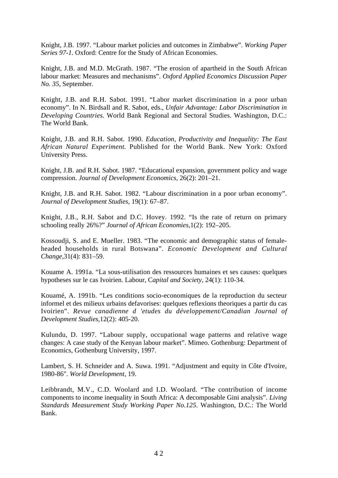Knight, J.B. 1997. "Labour market policies and outcomes in Zimbabwe". *Working Paper Series 97-1.* Oxford: Centre for the Study of African Economies.

Knight, J.B. and M.D. McGrath. 1987. "The erosion of apartheid in the South African labour market: Measures and mechanisms". *Oxford Applied Economics Discussion Paper No. 35,* September.

Knight, J.B. and R.H. Sabot. 1991. "Labor market discrimination in a poor urban economy". In N. Birdsall and R. Sabot, eds., *Unfair Advantage: Labor Discrimination in Developing Countries.* World Bank Regional and Sectoral Studies. Washington, D.C.: The World Bank.

Knight, J.B. and R.H. Sabot. 1990. *Education, Productivity and Inequality: The East African Natural Experiment.* Published for the World Bank. New York: Oxford University Press.

Knight, J.B. and R.H. Sabot. 1987. "Educational expansion, government policy and wage compression. *Journal of Development Economics,* 26(2): 201–21.

Knight, J.B. and R.H. Sabot. 1982. "Labour discrimination in a poor urban economy". *Journal of Development Studies,* 19(1): 67–87.

Knight, J.B., R.H. Sabot and D.C. Hovey. 1992. "Is the rate of return on primary schooling really 26%?" *Journal of African Economies,*1(2): 192–205.

Kossoudji, S. and E. Mueller. 1983. "The economic and demographic status of femaleheaded households in rural Botswana". *Economic Development and Cultural Change,*31(4): 831–59.

Kouame A. 1991a. "La sous-utilisation des ressources humaines et ses causes: quelques hypotheses sur le cas Ivoirien. Labour, C*apital and Society,* 24(1): 110-34.

Kouamé, A. 1991b. "Les conditions socio-economiques de la reproduction du secteur informel et des milieux urbains defavorises: quelques reflexions theoriques a partir du cas Ivoirien". *Revue canadienne d 'etudes du développement/Canadian Journal of Development Studies,*12(2): 405-20.

Kulundu, D. 1997. "Labour supply, occupational wage patterns and relative wage changes: A case study of the Kenyan labour market". Mimeo. Gothenburg: Department of Economics, Gothenburg University, 1997.

Lambert, S. H. Schneider and A. Suwa. 1991. "Adjustment and equity in Côte d'Ivoire, 1980-86". *World Development,* 19.

Leibbrandt, M.V., C.D. Woolard and I.D. Woolard. "The contribution of income components to income inequality in South Africa: A decomposable Gini analysis". *Living Standards Measurement Study Working Paper No.125.* Washington, D.C.: The World Bank.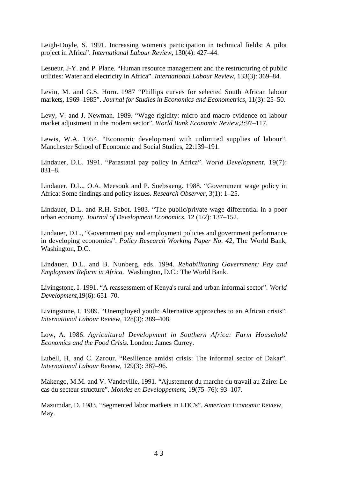Leigh-Doyle, S. 1991. Increasing women's participation in technical fields: A pilot project in Africa". *International Labour Review,* 130(4): 427–44.

Lesueur, J-Y. and P. Plane. "Human resource management and the restructuring of public utilities: Water and electricity in Africa". *International Labour Review,* 133(3): 369–84.

Levin, M. and G.S. Horn. 1987 "Phillips curves for selected South African labour markets, 1969–1985". *Journal for Studies in Economics and Econometrics,* 11(3): 25–50.

Levy, V. and J. Newman. 1989. "Wage rigidity: micro and macro evidence on labour market adjustment in the modern sector". *World Bank Economic Review,*3:97–117.

Lewis, W.A. 1954. "Economic development with unlimited supplies of labour". Manchester School of Economic and Social Studies, 22:139–191.

Lindauer, D.L. 1991. "Parastatal pay policy in Africa". *World Development,* 19(7): 831–8.

Lindauer, D.L., O.A. Meesook and P. Suebsaeng. 1988. "Government wage policy in Africa: Some findings and policy issues. *Research Observer,* 3(1): 1–25.

Lindauer, D.L. and R.H. Sabot. 1983. "The public/private wage differential in a poor urban economy. *Journal of Development Economics.* 12 (1/2): 137–152.

Lindauer, D.L., "Government pay and employment policies and government performance in developing economies". *Policy Research Working Paper No. 42,* The World Bank, Washington, D.C.

Lindauer, D.L. and B. Nunberg, eds. 1994. *Rehabilitating Government: Pay and Employment Reform in Africa.* Washington, D.C.: The World Bank.

Livingstone, I. 1991. "A reassessment of Kenya's rural and urban informal sector". *World Development,*19(6): 651–70.

Livingstone, I. 1989. "Unemployed youth: Alternative approaches to an African crisis". *International Labour Review,* 128(3): 389–408.

Low, A. 1986. *Agricultural Development in Southern Africa: Farm Household Economics and the Food Crisis.* London: James Currey.

Lubell, H, and C. Zarour. "Resilience amidst crisis: The informal sector of Dakar". *International Labour Review,* 129(3): 387–96.

Makengo, M.M. and V. Vandeville. 1991. "Ajustement du marche du travail au Zaire: Le cas du secteur structure". *Mondes en Developpement,* 19(75–76): 93–107.

Mazumdar, D. 1983. "Segmented labor markets in LDC's". *American Economic Review,* May.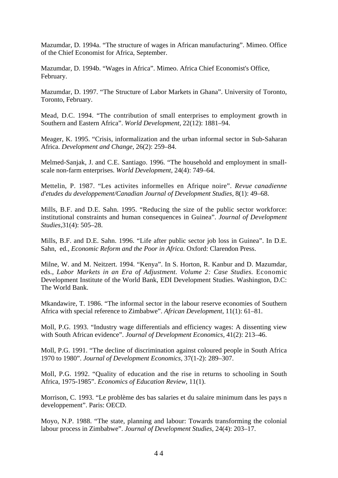Mazumdar, D. 1994a. "The structure of wages in African manufacturing". Mimeo. Office of the Chief Economist for Africa, September.

Mazumdar, D. 1994b. "Wages in Africa". Mimeo. Africa Chief Economist's Office, February.

Mazumdar, D. 1997. "The Structure of Labor Markets in Ghana". University of Toronto, Toronto, February.

Mead, D.C. 1994. "The contribution of small enterprises to employment growth in Southern and Eastern Africa". *World Development,* 22(12): 1881–94.

Meager, K. 1995. "Crisis, informalization and the urban informal sector in Sub-Saharan Africa. *Development and Change,* 26(2): 259–84.

Melmed-Sanjak, J. and C.E. Santiago. 1996. "The household and employment in smallscale non-farm enterprises. *World Development,* 24(4): 749–64.

Mettelin, P. 1987. "Les activites informelles en Afrique noire". *Revue canadienne d'etudes du developpement/Canadian Journal of Development Studies,* 8(1): 49–68.

Mills, B.F. and D.E. Sahn. 1995. "Reducing the size of the public sector workforce: institutional constraints and human consequences in Guinea". *Journal of Development Studies,*31(4): 505–28.

Mills, B.F. and D.E. Sahn. 1996. "Life after public sector job loss in Guinea". In D.E. Sahn, ed., *Economic Reform and the Poor in Africa*. Oxford: Clarendon Press.

Milne, W. and M. Neitzert. 1994. "Kenya". In S. Horton, R. Kanbur and D. Mazumdar, eds., *Labor Markets in an Era of Adjustment. Volume 2: Case Studies. Economic* Development Institute of the World Bank, EDI Development Studies. Washington, D.C: The World Bank.

Mkandawire, T. 1986. "The informal sector in the labour reserve economies of Southern Africa with special reference to Zimbabwe". *African Development,* 11(1): 61–81.

Moll, P.G. 1993. "Industry wage differentials and efficiency wages: A dissenting view with South African evidence". *Journal of Development Economics,* 41(2): 213–46.

Moll, P.G. 1991. "The decline of discrimination against coloured people in South Africa 1970 to 1980". *Journal of Development Economics,* 37(1-2): 289–307.

Moll, P.G. 1992. "Quality of education and the rise in returns to schooling in South Africa, 1975-1985". *Economics of Education Review,* 11(1).

Morrison, C. 1993. "Le problème des bas salaries et du salaire minimum dans les pays n developpement". Paris: OECD.

Moyo, N.P. 1988. "The state, planning and labour: Towards transforming the colonial labour process in Zimbabwe". *Journal of Development Studies,* 24(4): 203–17.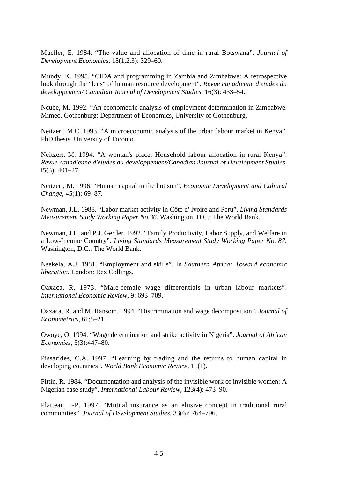Mueller, E. 1984. "The value and allocation of time in rural Botswana". *Journal of Development Economics,* 15(1,2,3): 329–60.

Mundy, K. 1995. "CIDA and programming in Zambia and Zimbabwe: A retrospective look through the "lens" of human resource development". *Revue canadienne d'etudes du developpement/ Canadian Journal of Development Studies,* 16(3): 433–54.

Ncube, M. 1992. "An econometric analysis of employment determination in Zimbabwe. Mimeo. Gothenburg: Department of Economics, University of Gothenburg.

Neitzert, M.C. 1993. "A microeconomic analysis of the urban labour market in Kenya". PhD thesis, University of Toronto.

Neitzert, M. 1994. "A woman's place: Household labour allocation in rural Kenya". *Revue canadienne d'eludes du developpement/Canadian Journal of Development Studies,* l5(3): 401–27.

Neitzert, M. 1996. "Human capital in the hot sun". *Economic Development and Cultural Change,* 45(1): 69–87.

Newman, J.L. 1988. "Labor market activity in Côte d' Ivoire and Peru". *Living Standards Measurement Study Working Paper No.36.* Washington, D.C.: The World Bank.

Newman, J.L. and P.J. Gertler. 1992. "Family Productivity, Labor Supply, and Welfare in a Low-Income Country". *Living Standards Measurement Study Working Paper No. 87.* Washington, D.C.: The World Bank.

Nsekela, A.J. 1981. "Employment and skills". In *Southern Africa: Toward economic liberation.* London: Rex Collings.

Oaxaca, R. 1973. "Male-female wage differentials in urban labour markets". *International Economic Review,* 9: 693–709.

Oaxaca, R. and M. Ransom. 1994. "Discrimination and wage decomposition". *Journal of Econometrics,* 61;5–21.

Owoye, O. 1994. "Wage determination and strike activity in Nigeria". *Journal of African Economies,* 3(3):447–80.

Pissarides, C.A. 1997. "Learning by trading and the returns to human capital in developing countries". *World Bank Economic Review,* 11(1).

Pittin, R. 1984. "Documentation and analysis of the invisible work of invisible women: A Nigerian case study". *International Labour Review,* 123(4): 473–90.

Platteau, J-P. 1997. "Mutual insurance as an elusive concept in traditional rural communities". *Journal of Development Studies,* 33(6): 764–796.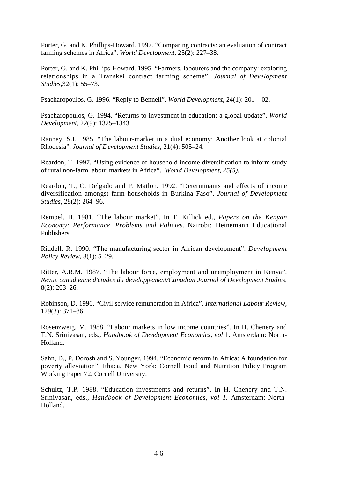Porter, G. and K. Phillips-Howard. 1997. "Comparing contracts: an evaluation of contract farming schemes in Africa". *World Development,* 25(2): 227–38.

Porter, G. and K. Phillips-Howard. 1995. "Farmers, labourers and the company: exploring relationships in a Transkei contract farming scheme". *Journal of Development Studies,*32(1): 55–73.

Psacharopoulos, G. 1996. "Reply to Bennell". *World Development,* 24(1): 201—02.

Psacharopoulos, G. 1994. "Returns to investment in education: a global update". *World Development,* 22(9): 1325–1343.

Ranney, S.I. 1985. "The labour-market in a dual economy: Another look at colonial Rhodesia". *Journal of Development Studies,* 21(4): 505–24.

Reardon, T. 1997. "Using evidence of household income diversification to inform study of rural non-farm labour markets in Africa". *World Development, 25(5).*

Reardon, T., C. Delgado and P. Matlon. 1992. "Determinants and effects of income diversification amongst farm households in Burkina Faso". *Journal of Development Studies,* 28(2): 264–96.

Rempel, H. 1981. "The labour market". In T. Killick ed., *Papers on the Kenyan Economy: Performance, Problems and Policies.* Nairobi: Heinemann Educational Publishers.

Riddell, R. 1990. "The manufacturing sector in African development". *Development Policy Review,* 8(1): 5–29.

Ritter, A.R.M. 1987. "The labour force, employment and unemployment in Kenya". *Revue canadienne d'etudes du developpement/Canadian Journal of Development Studies,* 8(2): 203–26.

Robinson, D. 1990. "Civil service remuneration in Africa". *International Labour Review,* 129(3): 371–86.

Rosenzweig, M. 1988. "Labour markets in low income countries". In H. Chenery and T.N. Srinivasan, eds., *Handbook of Development Economics, vol* 1. Amsterdam: North-Holland.

Sahn, D., P. Dorosh and S. Younger. 1994. "Economic reform in Africa: A foundation for poverty alleviation". Ithaca, New York: Cornell Food and Nutrition Policy Program Working Paper 72, Cornell University.

Schultz, T.P. 1988. "Education investments and returns". In H. Chenery and T.N. Srinivasan, eds., *Handbook of Development Economics, vol 1.* Amsterdam: North-Holland.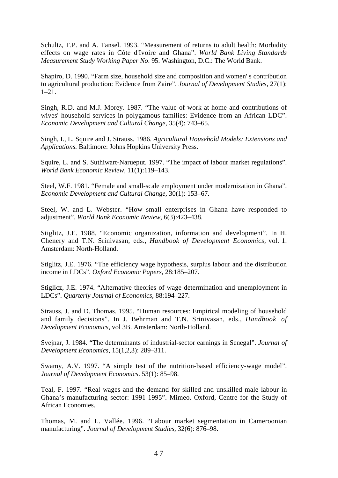Schultz, T.P. and A. Tansel. 1993. "Measurement of returns to adult health: Morbidity effects on wage rates in Côte d'Ivoire and Ghana". *World Bank Living Standards Measurement Study Working Paper No*. 95. Washington, D.C.: The World Bank.

Shapiro, D. 1990. "Farm size, household size and composition and women' s contribution to agricultural production: Evidence from Zaire". *Journal of Development Studies,* 27(1): 1–21.

Singh, R.D. and M.J. Morey. 1987. "The value of work-at-home and contributions of wives' household services in polygamous families: Evidence from an African LDC". *Economic Development and Cultural Change,* 35(4): 743–65.

Singh, I., L. Squire and J. Strauss. 1986. *Agricultural Household Models: Extensions and Applications.* Baltimore: Johns Hopkins University Press.

Squire, L. and S. Suthiwart-Narueput. 1997. "The impact of labour market regulations". *World Bank Economic Review,* 11(1):119–143.

Steel, W.F. 1981. "Female and small-scale employment under modernization in Ghana". *Economic Development and Cultural Change,* 30(1): 153–67.

Steel, W. and L. Webster. "How small enterprises in Ghana have responded to adjustment". *World Bank Economic Review,* 6(3):423–438.

Stiglitz, J.E. 1988. "Economic organization, information and development". In H. Chenery and T.N. Srinivasan, eds., *Handbook of Development Economics*, vol. 1. Amsterdam: North-Holland.

Stiglitz, J.E. 1976. "The efficiency wage hypothesis, surplus labour and the distribution income in LDCs". *Oxford Economic Papers*, 28:185–207.

Stiglicz, J.E. 1974. "Alternative theories of wage determination and unemployment in LDCs". *Quarterly Journal of Economics,* 88:194–227.

Strauss, J. and D. Thomas. 1995. "Human resources: Empirical modeling of household and family decisions". In J. Behrman and T.N. Srinivasan, eds., *Handbook of Development Economics*, vol 3B. Amsterdam: North-Holland.

Svejnar, J. 1984. "The determinants of industrial-sector earnings in Senegal". *Journal of Development Economics*, 15(1,2,3): 289–311.

Swamy, A.V. 1997. "A simple test of the nutrition-based efficiency-wage model". *Journal of Development Economics*. 53(1): 85–98.

Teal, F. 1997. "Real wages and the demand for skilled and unskilled male labour in Ghana's manufacturing sector: 1991-1995". Mimeo. Oxford, Centre for the Study of African Economies.

Thomas, M. and L. Vallée. 1996. "Labour market segmentation in Cameroonian manufacturing". *Journal of Development Studies*, 32(6): 876–98.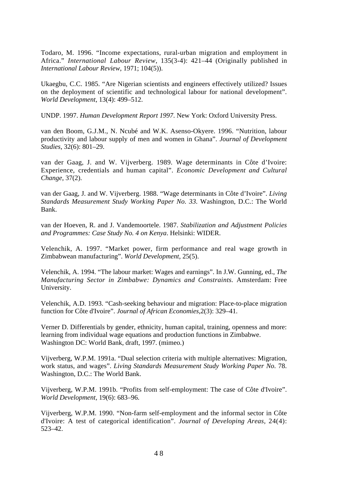Todaro, M. 1996. "Income expectations, rural-urban migration and employment in Africa." *International Labour Review*, 135(3-4): 421–44 (Originally published in *International Labour Review*, 1971; 104(5)).

Ukaegbu, C.C. 1985. "Are Nigerian scientists and engineers effectively utilized? Issues on the deployment of scientific and technological labour for national development". *World Development*, 13(4): 499–512.

UNDP. 1997. *Human Development Report 1997*. New York: Oxford University Press.

van den Boom, G.J.M., N. Ncubé and W.K. Asenso-Okyere. 1996. "Nutrition, labour productivity and labour supply of men and women in Ghana". *Journal of Development Studies*, 32(6): 801–29.

van der Gaag, J. and W. Vijverberg. 1989. Wage determinants in Côte d'Ivoire: Experience, credentials and human capital". *Economic Development and Cultural Change*, 37(2).

van der Gaag, J. and W. Vijverberg. 1988. "Wage determinants in Côte d'Ivoire". *Living Standards Measurement Study Working Paper No. 33.* Washington, D.C.: The World Bank.

van der Hoeven, R. and J. Vandemoortele. 1987. *Stabilization and Adjustment Policies and Programmes: Case Study No. 4 on Kenya*. Helsinki: WIDER.

Velenchik, A. 1997. "Market power, firm performance and real wage growth in Zimbabwean manufacturing". *World Development,* 25(5).

Velenchik, A. 1994. "The labour market: Wages and earnings". In J.W. Gunning, ed., *The Manufacturing Sector in Zimbabwe: Dynamics and Constraints.* Amsterdam: Free University.

Velenchik, A.D. 1993. "Cash-seeking behaviour and migration: Place-to-place migration function for Côte d'Ivoire". *Journal of African Economies,*2(3): 329–41.

Verner D. Differentials by gender, ethnicity, human capital, training, openness and more: learning from individual wage equations and production functions in Zimbabwe. Washington DC: World Bank, draft, 1997. (mimeo.)

Vijverberg, W.P.M. 1991a. "Dual selection criteria with multiple alternatives: Migration, work status, and wages". *Living Standards Measurement Study Working Paper No.* 78. Washington, D.C.: The World Bank.

Vijverberg, W.P.M. 1991b. "Profits from self-employment: The case of Côte d'Ivoire". *World Development,* 19(6): 683–96.

Vijverberg, W.P.M. 1990. "Non-farm self-employment and the informal sector in Côte d'Ivoire: A test of categorical identification". *Journal of Developing Areas,* 24(4): 523–42.